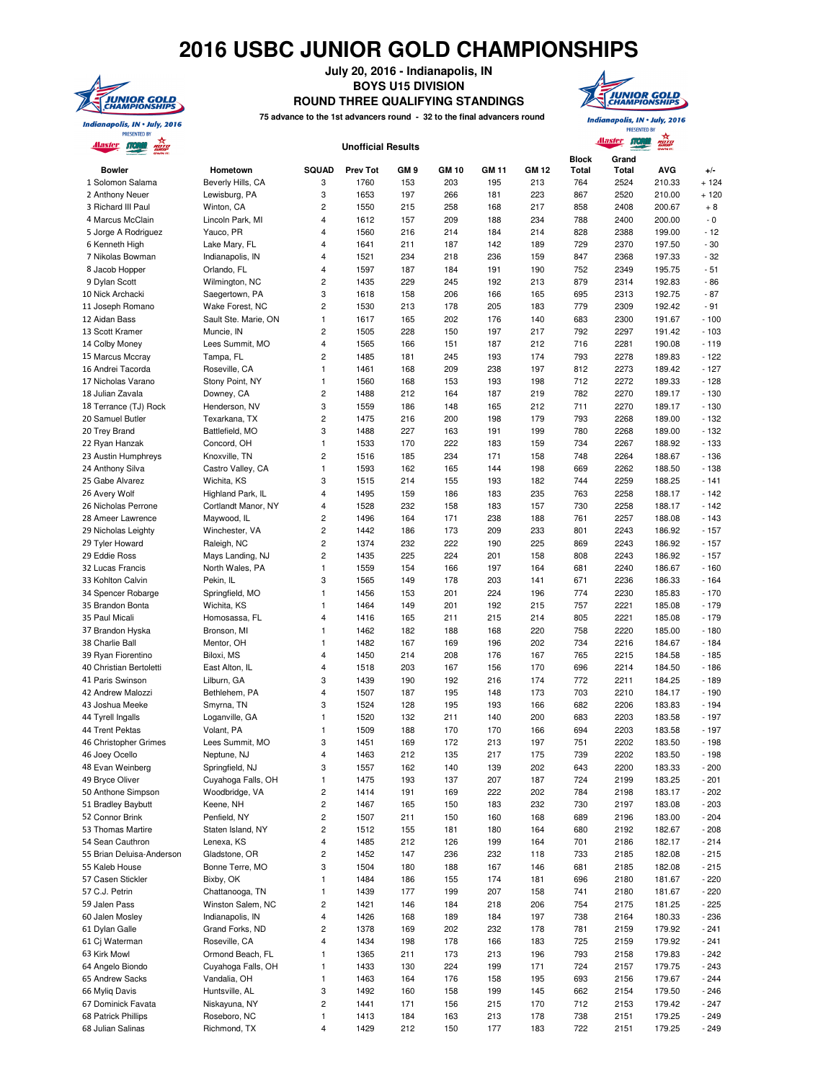## **2016 USBC JUNIOR GOLD CHAMPIONSHIPS**



**July 20, 2016 - Indianapolis, IN BOYS U15 DIVISION ROUND THREE QUALIFYING STANDINGS**



**PRESENTED BY** 

 $\overline{A}$ 

**75 advance to the 1st advancers round - 32 to the final advancers round**

| <u> Alaster</u>                       | Alaster MO<br>ROTO<br><b>Unofficial Results</b> |                         |                 |                 |              |              |              |                       |                       |                  |                  |
|---------------------------------------|-------------------------------------------------|-------------------------|-----------------|-----------------|--------------|--------------|--------------|-----------------------|-----------------------|------------------|------------------|
| <b>Bowler</b>                         | Hometown                                        | <b>SQUAD</b>            | <b>Prev Tot</b> | GM <sub>9</sub> | <b>GM 10</b> | <b>GM 11</b> | <b>GM 12</b> | <b>Block</b><br>Total | Grand<br><b>Total</b> | <b>AVG</b>       | $+/-$            |
| 1 Solomon Salama                      | Beverly Hills, CA                               | 3                       | 1760            | 153             | 203          | 195          | 213          | 764                   | 2524                  | 210.33           | $+124$           |
| 2 Anthony Neuer                       | Lewisburg, PA                                   | 3                       | 1653            | 197             | 266          | 181          | 223          | 867                   | 2520                  | 210.00           | $+120$           |
| 3 Richard III Paul                    | Winton, CA                                      | $\overline{c}$          | 1550            | 215             | 258          | 168          | 217          | 858                   | 2408                  | 200.67           | $+8$             |
| 4 Marcus McClain                      | Lincoln Park, MI                                | 4                       | 1612            | 157             | 209          | 188          | 234          | 788                   | 2400                  | 200.00           | $\sim 0$         |
| 5 Jorge A Rodriguez                   | Yauco, PR                                       | 4                       | 1560            | 216             | 214          | 184          | 214          | 828                   | 2388                  | 199.00           | $-12$            |
| 6 Kenneth High                        | Lake Mary, FL                                   | 4                       | 1641            | 211             | 187          | 142          | 189          | 729                   | 2370                  | 197.50           | $-30$            |
| 7 Nikolas Bowman                      | Indianapolis, IN                                | 4                       | 1521            | 234             | 218          | 236          | 159          | 847                   | 2368                  | 197.33           | $-32$            |
| 8 Jacob Hopper                        | Orlando, FL                                     | 4                       | 1597            | 187             | 184          | 191          | 190          | 752                   | 2349                  | 195.75           | $-51$            |
| 9 Dylan Scott                         | Wilmington, NC                                  | $\overline{c}$          | 1435            | 229             | 245          | 192          | 213          | 879                   | 2314                  | 192.83           | $-86$            |
| 10 Nick Archacki                      | Saegertown, PA                                  | 3                       | 1618            | 158             | 206          | 166          | 165          | 695                   | 2313                  | 192.75           | $-87$            |
| 11 Joseph Romano                      | Wake Forest, NC                                 | $\overline{c}$          | 1530            | 213             | 178          | 205          | 183          | 779                   | 2309                  | 192.42           | $-91$            |
| 12 Aidan Bass                         | Sault Ste. Marie, ON                            | 1                       | 1617            | 165             | 202          | 176          | 140          | 683                   | 2300                  | 191.67           | $-100$           |
| 13 Scott Kramer                       | Muncie, IN                                      | $\overline{c}$          | 1505            | 228             | 150          | 197          | 217          | 792                   | 2297                  | 191.42           | $-103$           |
| 14 Colby Money                        | Lees Summit, MO                                 | 4<br>$\overline{c}$     | 1565<br>1485    | 166<br>181      | 151<br>245   | 187<br>193   | 212<br>174   | 716<br>793            | 2281<br>2278          | 190.08<br>189.83 | $-119$<br>$-122$ |
| 15 Marcus Mccray<br>16 Andrei Tacorda | Tampa, FL<br>Roseville, CA                      | $\mathbf{1}$            | 1461            | 168             | 209          | 238          | 197          | 812                   | 2273                  | 189.42           | $-127$           |
| 17 Nicholas Varano                    | Stony Point, NY                                 | 1                       | 1560            | 168             | 153          | 193          | 198          | 712                   | 2272                  | 189.33           | $-128$           |
| 18 Julian Zavala                      | Downey, CA                                      | $\overline{\mathbf{c}}$ | 1488            | 212             | 164          | 187          | 219          | 782                   | 2270                  | 189.17           | $-130$           |
| 18 Terrance (TJ) Rock                 | Henderson, NV                                   | 3                       | 1559            | 186             | 148          | 165          | 212          | 711                   | 2270                  | 189.17           | $-130$           |
| 20 Samuel Butler                      | Texarkana, TX                                   | $\overline{\mathbf{c}}$ | 1475            | 216             | 200          | 198          | 179          | 793                   | 2268                  | 189.00           | $-132$           |
| 20 Trey Brand                         | Battlefield, MO                                 | 3                       | 1488            | 227             | 163          | 191          | 199          | 780                   | 2268                  | 189.00           | $-132$           |
| 22 Ryan Hanzak                        | Concord, OH                                     | 1                       | 1533            | 170             | 222          | 183          | 159          | 734                   | 2267                  | 188.92           | $-133$           |
| 23 Austin Humphreys                   | Knoxville, TN                                   | $\overline{c}$          | 1516            | 185             | 234          | 171          | 158          | 748                   | 2264                  | 188.67           | $-136$           |
| 24 Anthony Silva                      | Castro Valley, CA                               | 1                       | 1593            | 162             | 165          | 144          | 198          | 669                   | 2262                  | 188.50           | $-138$           |
| 25 Gabe Alvarez                       | Wichita, KS                                     | 3                       | 1515            | 214             | 155          | 193          | 182          | 744                   | 2259                  | 188.25           | $-141$           |
| 26 Avery Wolf                         | Highland Park, IL                               | 4                       | 1495            | 159             | 186          | 183          | 235          | 763                   | 2258                  | 188.17           | $-142$           |
| 26 Nicholas Perrone                   | Cortlandt Manor, NY                             | 4                       | 1528            | 232             | 158          | 183          | 157          | 730                   | 2258                  | 188.17           | $-142$           |
| 28 Ameer Lawrence                     | Maywood, IL                                     | 2                       | 1496            | 164             | 171          | 238          | 188          | 761                   | 2257                  | 188.08           | $-143$           |
| 29 Nicholas Leighty                   | Winchester, VA                                  | 2                       | 1442            | 186             | 173          | 209          | 233          | 801                   | 2243                  | 186.92           | $-157$           |
| 29 Tyler Howard                       | Raleigh, NC                                     | $\overline{\mathbf{c}}$ | 1374            | 232             | 222          | 190          | 225          | 869                   | 2243                  | 186.92           | $-157$           |
| 29 Eddie Ross                         | Mays Landing, NJ                                | 2                       | 1435            | 225             | 224          | 201          | 158          | 808                   | 2243                  | 186.92           | $-157$           |
| 32 Lucas Francis                      | North Wales, PA                                 | 1                       | 1559            | 154             | 166          | 197          | 164          | 681                   | 2240                  | 186.67           | $-160$           |
| 33 Kohlton Calvin                     | Pekin, IL                                       | 3                       | 1565            | 149             | 178          | 203          | 141          | 671                   | 2236                  | 186.33           | $-164$           |
| 34 Spencer Robarge                    | Springfield, MO                                 | 1                       | 1456            | 153             | 201          | 224          | 196          | 774                   | 2230                  | 185.83           | $-170$           |
| 35 Brandon Bonta                      | Wichita, KS                                     | 1                       | 1464            | 149             | 201          | 192          | 215          | 757                   | 2221                  | 185.08           | $-179$           |
| 35 Paul Micali                        | Homosassa, FL                                   | 4                       | 1416            | 165             | 211          | 215          | 214          | 805                   | 2221                  | 185.08           | $-179$           |
| 37 Brandon Hyska                      | Bronson, MI                                     | 1                       | 1462            | 182             | 188          | 168          | 220          | 758                   | 2220                  | 185.00           | $-180$           |
| 38 Charlie Ball                       | Mentor, OH                                      | 1                       | 1482            | 167             | 169          | 196          | 202          | 734                   | 2216                  | 184.67           | $-184$           |
| 39 Ryan Fiorentino                    | Biloxi, MS                                      | 4                       | 1450            | 214             | 208          | 176          | 167          | 765                   | 2215                  | 184.58           | $-185$           |
| 40 Christian Bertoletti               | East Alton, IL                                  | 4                       | 1518            | 203             | 167          | 156          | 170          | 696                   | 2214                  | 184.50           | $-186$           |
| 41 Paris Swinson                      | Lilburn, GA                                     | 3                       | 1439            | 190             | 192          | 216          | 174          | 772                   | 2211                  | 184.25           | $-189$<br>$-190$ |
| 42 Andrew Malozzi                     | Bethlehem, PA<br>Smyrna, TN                     | 4                       | 1507<br>1524    | 187<br>128      | 195<br>195   | 148<br>193   | 173          | 703<br>682            | 2210<br>2206          | 184.17<br>183.83 | $-194$           |
| 43 Joshua Meeke<br>44 Tyrell Ingalls  | Loganville, GA                                  | 3<br>1                  | 1520            | 132             | 211          | 140          | 166<br>200   | 683                   | 2203                  | 183.58           | $-197$           |
| 44 Trent Pektas                       | Volant, PA                                      | 1                       | 1509            | 188             | 170          | 170          | 166          | 694                   | 2203                  | 183.58           | $-197$           |
| 46 Christopher Grimes                 | Lees Summit, MO                                 | 3                       | 1451            | 169             | 172          | 213          | 197          | 751                   | 2202                  | 183.50           | $-198$           |
| 46 Joey Ocello                        | Neptune, NJ                                     | 4                       | 1463            | 212             | 135          | 217          | 175          | 739                   | 2202                  | 183.50           | - 198            |
| 48 Evan Weinberg                      | Springfield, NJ                                 | 3                       | 1557            | 162             | 140          | 139          | 202          | 643                   | 2200                  | 183.33           | $-200$           |
| 49 Bryce Oliver                       | Cuyahoga Falls, OH                              | 1                       | 1475            | 193             | 137          | 207          | 187          | 724                   | 2199                  | 183.25           | $-201$           |
| 50 Anthone Simpson                    | Woodbridge, VA                                  | $\overline{\mathbf{c}}$ | 1414            | 191             | 169          | 222          | 202          | 784                   | 2198                  | 183.17           | $-202$           |
| 51 Bradley Baybutt                    | Keene, NH                                       | 2                       | 1467            | 165             | 150          | 183          | 232          | 730                   | 2197                  | 183.08           | $-203$           |
| 52 Connor Brink                       | Penfield, NY                                    | $\overline{\mathbf{c}}$ | 1507            | 211             | 150          | 160          | 168          | 689                   | 2196                  | 183.00           | $-204$           |
| 53 Thomas Martire                     | Staten Island, NY                               | 2                       | 1512            | 155             | 181          | 180          | 164          | 680                   | 2192                  | 182.67           | $-208$           |
| 54 Sean Cauthron                      | Lenexa, KS                                      | 4                       | 1485            | 212             | 126          | 199          | 164          | 701                   | 2186                  | 182.17           | $-214$           |
| 55 Brian Deluisa-Anderson             | Gladstone, OR                                   | 2                       | 1452            | 147             | 236          | 232          | 118          | 733                   | 2185                  | 182.08           | $-215$           |
| 55 Kaleb House                        | Bonne Terre, MO                                 | 3                       | 1504            | 180             | 188          | 167          | 146          | 681                   | 2185                  | 182.08           | $-215$           |
| 57 Casen Stickler                     | Bixby, OK                                       | 1                       | 1484            | 186             | 155          | 174          | 181          | 696                   | 2180                  | 181.67           | $-220$           |
| 57 C.J. Petrin                        | Chattanooga, TN                                 | $\mathbf{1}$            | 1439            | 177             | 199          | 207          | 158          | 741                   | 2180                  | 181.67           | $-220$           |
| 59 Jalen Pass                         | Winston Salem, NC                               | 2                       | 1421            | 146             | 184          | 218          | 206          | 754                   | 2175                  | 181.25           | $-225$           |
| 60 Jalen Mosley                       | Indianapolis, IN                                | 4                       | 1426            | 168             | 189          | 184          | 197          | 738                   | 2164                  | 180.33           | $-236$           |
| 61 Dylan Galle                        | Grand Forks, ND                                 | $\overline{c}$          | 1378            | 169             | 202          | 232          | 178          | 781                   | 2159                  | 179.92           | $-241$           |
| 61 Cj Waterman                        | Roseville, CA                                   | 4                       | 1434            | 198             | 178          | 166          | 183          | 725                   | 2159                  | 179.92           | $-241$           |
| 63 Kirk Mowl                          | Ormond Beach, FL                                | 1                       | 1365            | 211             | 173          | 213          | 196          | 793                   | 2158                  | 179.83           | $-242$           |
| 64 Angelo Biondo                      | Cuyahoga Falls, OH                              | 1                       | 1433            | 130             | 224          | 199          | 171          | 724                   | 2157                  | 179.75           | $-243$           |
| 65 Andrew Sacks                       | Vandalia, OH                                    | 1                       | 1463            | 164             | 176          | 158          | 195          | 693                   | 2156                  | 179.67           | $-244$           |
| 66 Myliq Davis                        | Huntsville, AL                                  | 3                       | 1492            | 160             | 158          | 199          | 145          | 662                   | 2154                  | 179.50           | $-246$           |
| 67 Dominick Favata                    | Niskayuna, NY                                   | $\overline{\mathbf{c}}$ | 1441            | 171             | 156          | 215          | 170          | 712                   | 2153                  | 179.42           | $-247$           |
| 68 Patrick Phillips                   | Roseboro, NC                                    | 1                       | 1413            | 184             | 163          | 213          | 178          | 738                   | 2151                  | 179.25           | $-249$           |
| 68 Julian Salinas                     | Richmond, TX                                    | 4                       | 1429            | 212             | 150          | 177          | 183          | 722                   | 2151                  | 179.25           | $-249$           |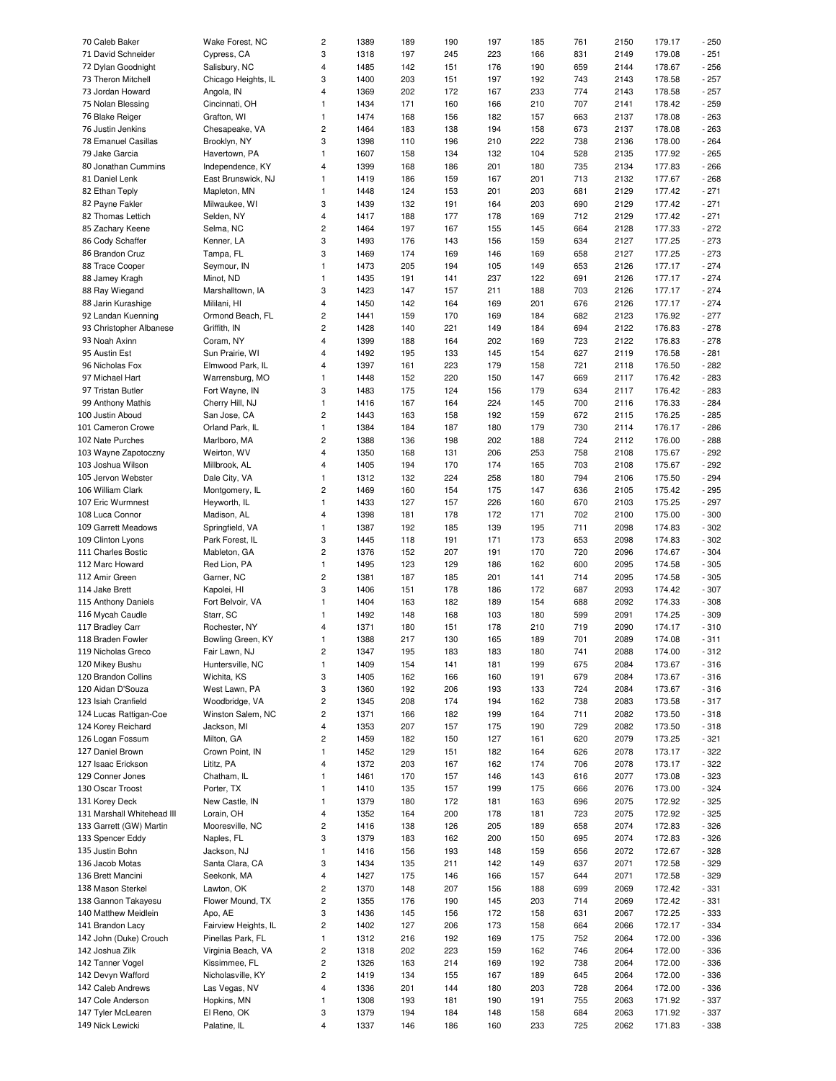| 70 Caleb Baker                         | Wake Forest, NC             | $\overline{c}$          | 1389         | 189        | 190        | 197        | 185        | 761        | 2150         | 179.17           | $-250$          |
|----------------------------------------|-----------------------------|-------------------------|--------------|------------|------------|------------|------------|------------|--------------|------------------|-----------------|
| 71 David Schneider                     | Cypress, CA                 | 3                       | 1318         | 197        | 245        | 223        | 166        | 831        | 2149         | 179.08           | $-251$          |
| 72 Dylan Goodnight                     | Salisbury, NC               | $\overline{4}$          | 1485         | 142        | 151        | 176        | 190        | 659        | 2144         | 178.67           | $-256$          |
| 73 Theron Mitchell                     | Chicago Heights, IL         | 3                       | 1400         | 203        | 151        | 197        | 192        | 743        | 2143         | 178.58           | $-257$          |
| 73 Jordan Howard                       | Angola, IN                  | 4                       | 1369         | 202        | 172        | 167        | 233        | 774        | 2143         | 178.58           | $-257$          |
|                                        |                             |                         |              |            |            |            |            |            |              |                  |                 |
| 75 Nolan Blessing                      | Cincinnati, OH              | $\mathbf{1}$            | 1434         | 171        | 160        | 166        | 210        | 707        | 2141         | 178.42           | $-259$          |
| 76 Blake Reiger                        | Grafton, WI                 | $\mathbf{1}$            | 1474         | 168        | 156        | 182        | 157        | 663        | 2137         | 178.08           | $-263$          |
| 76 Justin Jenkins                      | Chesapeake, VA              | $\overline{c}$          | 1464         | 183        | 138        | 194        | 158        | 673        | 2137         | 178.08           | $-263$          |
| 78 Emanuel Casillas                    | Brooklyn, NY                | 3                       | 1398         | 110        | 196        | 210        | 222        | 738        | 2136         | 178.00           | $-264$          |
| 79 Jake Garcia                         | Havertown, PA               | $\mathbf{1}$            | 1607         | 158        | 134        | 132        | 104        | 528        | 2135         | 177.92           | $-265$          |
|                                        |                             |                         |              |            |            |            |            |            |              |                  |                 |
| 80 Jonathan Cummins                    | Independence, KY            | $\overline{4}$          | 1399         | 168        | 186        | 201        | 180        | 735        | 2134         | 177.83           | $-266$          |
| 81 Daniel Lenk                         | East Brunswick, NJ          | $\mathbf{1}$            | 1419         | 186        | 159        | 167        | 201        | 713        | 2132         | 177.67           | $-268$          |
| 82 Ethan Teply                         | Mapleton, MN                | $\mathbf{1}$            | 1448         | 124        | 153        | 201        | 203        | 681        | 2129         | 177.42           | $-271$          |
| 82 Payne Fakler                        | Milwaukee, WI               | 3                       | 1439         | 132        | 191        | 164        | 203        | 690        | 2129         | 177.42           | $-271$          |
| 82 Thomas Lettich                      | Selden, NY                  | $\overline{4}$          | 1417         | 188        | 177        | 178        | 169        | 712        | 2129         | 177.42           | $-271$          |
| 85 Zachary Keene                       | Selma, NC                   | $\overline{c}$          | 1464         | 197        | 167        | 155        | 145        | 664        | 2128         | 177.33           | $-272$          |
|                                        | Kenner, LA                  | 3                       | 1493         | 176        | 143        | 156        | 159        | 634        | 2127         | 177.25           | $-273$          |
| 86 Cody Schaffer                       |                             |                         |              |            |            |            |            |            |              |                  |                 |
| 86 Brandon Cruz                        | Tampa, FL                   | 3                       | 1469         | 174        | 169        | 146        | 169        | 658        | 2127         | 177.25           | $-273$          |
| 88 Trace Cooper                        | Seymour, IN                 | $\mathbf{1}$            | 1473         | 205        | 194        | 105        | 149        | 653        | 2126         | 177.17           | $-274$          |
| 88 Jamey Kragh                         | Minot, ND                   | $\mathbf{1}$            | 1435         | 191        | 141        | 237        | 122        | 691        | 2126         | 177.17           | $-274$          |
| 88 Ray Wiegand                         | Marshalltown, IA            | 3                       | 1423         | 147        | 157        | 211        | 188        | 703        | 2126         | 177.17           | $-274$          |
| 88 Jarin Kurashige                     | Mililani, HI                | $\overline{4}$          | 1450         | 142        | 164        | 169        | 201        | 676        | 2126         | 177.17           | $-274$          |
| 92 Landan Kuenning                     | Ormond Beach, FL            | $\overline{c}$          | 1441         | 159        | 170        | 169        | 184        | 682        | 2123         | 176.92           | $-277$          |
|                                        |                             |                         |              |            |            |            |            |            |              |                  |                 |
| 93 Christopher Albanese                | Griffith, IN                | $\overline{c}$          | 1428         | 140        | 221        | 149        | 184        | 694        | 2122         | 176.83           | $-278$          |
| 93 Noah Axinn                          | Coram, NY                   | $\overline{4}$          | 1399         | 188        | 164        | 202        | 169        | 723        | 2122         | 176.83           | $-278$          |
| 95 Austin Est                          | Sun Prairie, WI             | 4                       | 1492         | 195        | 133        | 145        | 154        | 627        | 2119         | 176.58           | $-281$          |
| 96 Nicholas Fox                        | Elmwood Park, IL            | $\overline{4}$          | 1397         | 161        | 223        | 179        | 158        | 721        | 2118         | 176.50           | $-282$          |
| 97 Michael Hart                        | Warrensburg, MO             | 1                       | 1448         | 152        | 220        | 150        | 147        | 669        | 2117         | 176.42           | $-283$          |
| 97 Tristan Butler                      | Fort Wayne, IN              | 3                       | 1483         | 175        | 124        | 156        | 179        | 634        | 2117         | 176.42           | $-283$          |
|                                        |                             |                         |              |            |            |            |            |            |              |                  |                 |
| 99 Anthony Mathis                      | Cherry Hill, NJ             | $\mathbf{1}$            | 1416         | 167        | 164        | 224        | 145        | 700        | 2116         | 176.33           | $-284$          |
| 100 Justin Aboud                       | San Jose, CA                | $\overline{c}$          | 1443         | 163        | 158        | 192        | 159        | 672        | 2115         | 176.25           | $-285$          |
| 101 Cameron Crowe                      | Orland Park, IL             | $\mathbf{1}$            | 1384         | 184        | 187        | 180        | 179        | 730        | 2114         | 176.17           | $-286$          |
| 102 Nate Purches                       | Marlboro, MA                | $\overline{c}$          | 1388         | 136        | 198        | 202        | 188        | 724        | 2112         | 176.00           | $-288$          |
| 103 Wayne Zapotoczny                   | Weirton, WV                 | $\overline{4}$          | 1350         | 168        | 131        | 206        | 253        | 758        | 2108         | 175.67           | $-292$          |
| 103 Joshua Wilson                      | Millbrook, AL               | $\overline{4}$          | 1405         | 194        | 170        | 174        | 165        | 703        | 2108         | 175.67           | $-292$          |
| 105 Jervon Webster                     | Dale City, VA               | $\mathbf{1}$            | 1312         | 132        | 224        | 258        | 180        | 794        | 2106         | 175.50           | $-294$          |
|                                        |                             |                         |              |            |            |            |            |            |              |                  |                 |
| 106 William Clark                      | Montgomery, IL              | $\overline{\mathbf{c}}$ | 1469         | 160        | 154        | 175        | 147        | 636        | 2105         | 175.42           | $-295$          |
| 107 Eric Wurmnest                      | Heyworth, IL                | $\mathbf{1}$            | 1433         | 127        | 157        | 226        | 160        | 670        | 2103         | 175.25           | $-297$          |
| 108 Luca Connor                        | Madison, AL                 | 4                       | 1398         | 181        | 178        | 172        | 171        | 702        | 2100         | 175.00           | $-300$          |
| 109 Garrett Meadows                    | Springfield, VA             | $\mathbf{1}$            | 1387         | 192        | 185        | 139        | 195        | 711        | 2098         | 174.83           | $-302$          |
| 109 Clinton Lyons                      | Park Forest, IL             | 3                       | 1445         | 118        | 191        | 171        | 173        | 653        | 2098         | 174.83           | $-302$          |
| 111 Charles Bostic                     | Mableton, GA                | $\overline{c}$          | 1376         | 152        | 207        | 191        | 170        | 720        | 2096         | 174.67           | $-304$          |
| 112 Marc Howard                        | Red Lion, PA                | $\mathbf{1}$            | 1495         | 123        | 129        | 186        | 162        | 600        | 2095         | 174.58           | $-305$          |
| 112 Amir Green                         | Garner, NC                  | $\overline{c}$          | 1381         | 187        | 185        | 201        | 141        | 714        | 2095         | 174.58           | $-305$          |
| 114 Jake Brett                         | Kapolei, HI                 | 3                       | 1406         | 151        | 178        | 186        | 172        | 687        | 2093         | 174.42           | $-307$          |
|                                        |                             |                         |              |            |            |            |            |            |              |                  |                 |
| 115 Anthony Daniels                    | Fort Belvoir, VA            | $\mathbf{1}$            | 1404         | 163        | 182        | 189        | 154        | 688        | 2092         | 174.33           | $-308$          |
| 116 Mycah Caudle                       | Starr, SC                   | $\mathbf{1}$            | 1492         | 148        | 168        | 103        | 180        | 599        | 2091         | 174.25           | $-309$          |
| 117 Bradley Carr                       | Rochester, NY               | $\overline{4}$          | 1371         | 180        | 151        | 178        | 210        | 719        | 2090         | 174.17           | $-310$          |
| 118 Braden Fowler                      | Bowling Green, KY           | $\mathbf{1}$            | 1388         | 217        | 130        | 165        | 189        | 701        | 2089         | 174.08           | $-311$          |
| 119 Nicholas Greco                     | Fair Lawn, NJ               | $\overline{\mathbf{c}}$ | 1347         | 195        | 183        | 183        | 180        | 741        | 2088         | 174.00           | $-312$          |
| 120 Mikey Bushu                        | Huntersville, NC            | $\mathbf{1}$            | 1409         | 154        | 141        | 181        | 199        | 675        | 2084         | 173.67           | $-316$          |
| 120 Brandon Collins                    | Wichita, KS                 | 3                       | 1405         | 162        | 166        | 160        | 191        | 679        | 2084         | 173.67           |                 |
|                                        |                             |                         |              |            |            |            |            |            |              |                  | $-316$          |
| 120 Aidan D'Souza                      | West Lawn, PA               | 3                       | 1360         | 192        | 206        | 193        | 133        | 724        | 2084         | 173.67           | $-316$          |
| 123 Isiah Cranfield                    | Woodbridge, VA              | $\sqrt{2}$              | 1345         | 208        | 174        | 194        | 162        | 738        | 2083         | 173.58           | $-317$          |
| 124 Lucas Rattigan-Coe                 | Winston Salem, NC           | $\overline{\mathbf{c}}$ | 1371         | 166        | 182        | 199        | 164        | 711        | 2082         | 173.50           | $-318$          |
| 124 Korey Reichard                     | Jackson, MI                 | $\overline{\mathbf{4}}$ | 1353         | 207        | 157        | 175        | 190        | 729        | 2082         | 173.50           | $-318$          |
| 126 Logan Fossum                       | Milton, GA                  | $\overline{c}$          | 1459         | 182        | 150        | 127        | 161        | 620        | 2079         | 173.25           | $-321$          |
| 127 Daniel Brown                       | Crown Point, IN             | $\mathbf{1}$            | 1452         | 129        | 151        | 182        | 164        | 626        | 2078         | 173.17           | $-322$          |
| 127 Isaac Erickson                     | Lititz, PA                  | $\overline{4}$          | 1372         | 203        | 167        | 162        | 174        | 706        | 2078         | 173.17           | $-322$          |
|                                        |                             |                         |              |            |            |            |            |            |              |                  |                 |
| 129 Conner Jones                       | Chatham, IL                 | $\mathbf{1}$            | 1461         | 170        | 157        | 146        | 143        | 616        | 2077         | 173.08           | $-323$          |
| 130 Oscar Troost                       | Porter, TX                  | $\mathbf{1}$            | 1410         | 135        | 157        | 199        | 175        | 666        | 2076         | 173.00           | $-324$          |
| 131 Korey Deck                         | New Castle, IN              | $\mathbf{1}$            | 1379         | 180        | 172        | 181        | 163        | 696        | 2075         | 172.92           | $-325$          |
| 131 Marshall Whitehead III             | Lorain, OH                  | $\overline{\mathbf{4}}$ | 1352         | 164        | 200        | 178        | 181        | 723        | 2075         | 172.92           | $-325$          |
| 133 Garrett (GW) Martin                | Mooresville, NC             | $\overline{c}$          | 1416         | 138        | 126        | 205        | 189        | 658        | 2074         | 172.83           | $-326$          |
| 133 Spencer Eddy                       | Naples, FL                  |                         | 1379         | 183        | 162        | 200        | 150        | 695        | 2074         | 172.83           | $-326$          |
|                                        |                             |                         |              |            |            |            |            |            |              |                  |                 |
|                                        |                             | 3                       |              |            |            |            |            |            |              |                  |                 |
| 135 Justin Bohn                        | Jackson, NJ                 | $\mathbf{1}$            | 1416         | 156        | 193        | 148        | 159        | 656        | 2072         | 172.67           | $-328$          |
| 136 Jacob Motas                        | Santa Clara, CA             | 3                       | 1434         | 135        | 211        | 142        | 149        | 637        | 2071         | 172.58           | - 329           |
| 136 Brett Mancini                      | Seekonk, MA                 | $\overline{\mathbf{4}}$ | 1427         | 175        | 146        | 166        | 157        | 644        | 2071         | 172.58           | - 329           |
| 138 Mason Sterkel                      | Lawton, OK                  | $\overline{c}$          | 1370         | 148        | 207        | 156        | 188        | 699        | 2069         | 172.42           | $-331$          |
| 138 Gannon Takayesu                    | Flower Mound, TX            | $\overline{c}$          | 1355         | 176        | 190        | 145        | 203        | 714        | 2069         | 172.42           | $-331$          |
| 140 Matthew Meidlein                   | Apo, AE                     | 3                       | 1436         | 145        | 156        | 172        | 158        | 631        | 2067         | 172.25           | - 333           |
| 141 Brandon Lacy                       | Fairview Heights, IL        | $\overline{c}$          | 1402         | 127        | 206        | 173        | 158        | 664        | 2066         | 172.17           | $-334$          |
| 142 John (Duke) Crouch                 | Pinellas Park, FL           | $\mathbf{1}$            | 1312         | 216        | 192        | 169        | 175        | 752        | 2064         | 172.00           | $-336$          |
| 142 Joshua Zilk                        | Virginia Beach, VA          | $\overline{c}$          | 1318         | 202        | 223        | 159        | 162        | 746        | 2064         | 172.00           | $-336$          |
|                                        |                             |                         |              |            |            |            |            |            |              |                  |                 |
| 142 Tanner Vogel                       | Kissimmee, FL               | $\sqrt{2}$              | 1326         | 163        | 214        | 169        | 192        | 738        | 2064         | 172.00           | - 336           |
| 142 Devyn Wafford                      | Nicholasville, KY           | $\overline{c}$          | 1419         | 134        | 155        | 167        | 189        | 645        | 2064         | 172.00           | $-336$          |
| 142 Caleb Andrews                      | Las Vegas, NV               | 4                       | 1336         | 201        | 144        | 180        | 203        | 728        | 2064         | 172.00           | - 336           |
| 147 Cole Anderson                      | Hopkins, MN                 | $\mathbf{1}$            | 1308         | 193        | 181        | 190        | 191        | 755        | 2063         | 171.92           | $-337$          |
| 147 Tyler McLearen<br>149 Nick Lewicki | El Reno, OK<br>Palatine, IL | 3<br>4                  | 1379<br>1337 | 194<br>146 | 184<br>186 | 148<br>160 | 158<br>233 | 684<br>725 | 2063<br>2062 | 171.92<br>171.83 | $-337$<br>- 338 |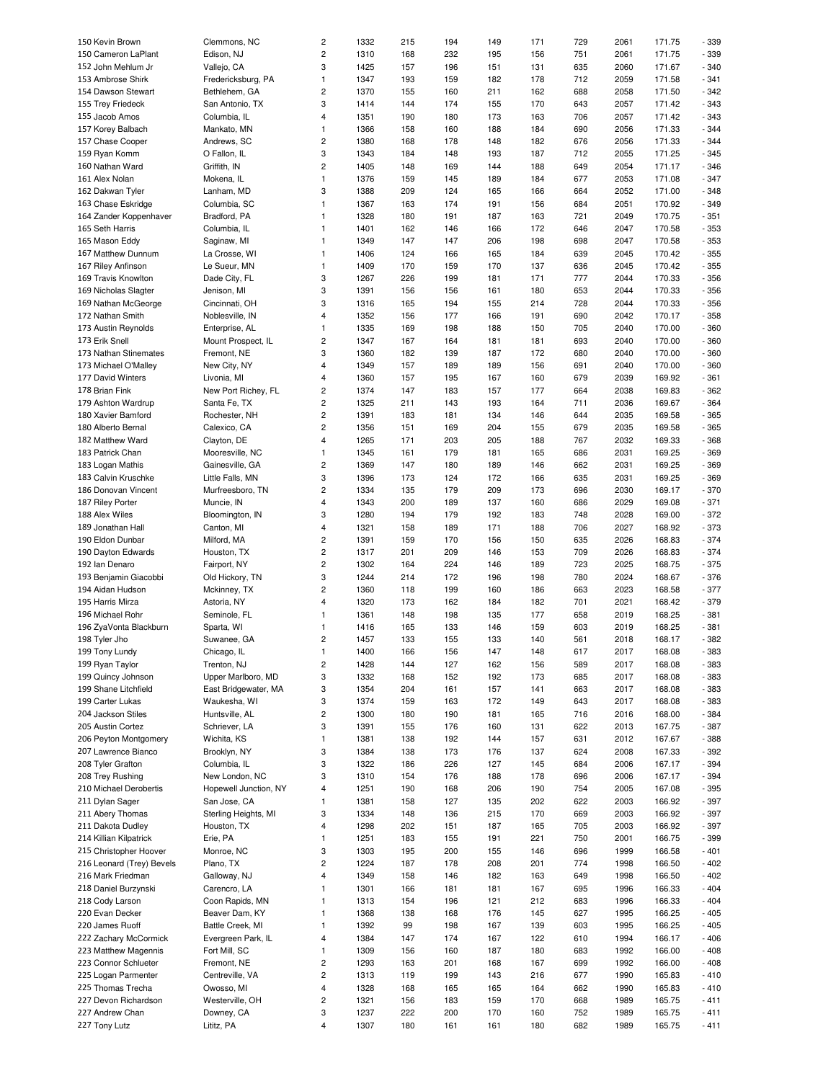| 150 Kevin Brown           | Clemmons, NC          | $\overline{c}$          | 1332 | 215 | 194 | 149 | 171 | 729 | 2061 | 171.75 | - 339  |
|---------------------------|-----------------------|-------------------------|------|-----|-----|-----|-----|-----|------|--------|--------|
| 150 Cameron LaPlant       | Edison, NJ            | $\overline{c}$          | 1310 | 168 | 232 | 195 | 156 | 751 | 2061 | 171.75 | - 339  |
| 152 John Mehlum Jr        | Vallejo, CA           | 3                       | 1425 | 157 | 196 | 151 | 131 | 635 | 2060 | 171.67 | $-340$ |
|                           |                       |                         |      |     |     |     |     |     |      |        |        |
| 153 Ambrose Shirk         | Fredericksburg, PA    | $\mathbf{1}$            | 1347 | 193 | 159 | 182 | 178 | 712 | 2059 | 171.58 | $-341$ |
| 154 Dawson Stewart        | Bethlehem, GA         | $\overline{c}$          | 1370 | 155 | 160 | 211 | 162 | 688 | 2058 | 171.50 | $-342$ |
| 155 Trey Friedeck         | San Antonio, TX       | 3                       | 1414 | 144 | 174 | 155 | 170 | 643 | 2057 | 171.42 | $-343$ |
| 155 Jacob Amos            | Columbia, IL          | $\overline{4}$          | 1351 | 190 | 180 | 173 | 163 | 706 | 2057 | 171.42 | $-343$ |
|                           |                       |                         |      |     |     |     |     |     |      |        |        |
| 157 Korey Balbach         | Mankato, MN           | $\mathbf{1}$            | 1366 | 158 | 160 | 188 | 184 | 690 | 2056 | 171.33 | $-344$ |
| 157 Chase Cooper          | Andrews, SC           | $\overline{c}$          | 1380 | 168 | 178 | 148 | 182 | 676 | 2056 | 171.33 | $-344$ |
| 159 Ryan Komm             | O Fallon, IL          | 3                       | 1343 | 184 | 148 | 193 | 187 | 712 | 2055 | 171.25 | $-345$ |
|                           |                       | $\overline{c}$          |      |     |     |     |     |     |      |        |        |
| 160 Nathan Ward           | Griffith, IN          |                         | 1405 | 148 | 169 | 144 | 188 | 649 | 2054 | 171.17 | $-346$ |
| 161 Alex Nolan            | Mokena, IL            | $\mathbf{1}$            | 1376 | 159 | 145 | 189 | 184 | 677 | 2053 | 171.08 | $-347$ |
| 162 Dakwan Tyler          | Lanham, MD            | 3                       | 1388 | 209 | 124 | 165 | 166 | 664 | 2052 | 171.00 | $-348$ |
| 163 Chase Eskridge        | Columbia, SC          | $\mathbf{1}$            | 1367 | 163 | 174 | 191 | 156 | 684 | 2051 | 170.92 | $-349$ |
|                           |                       |                         |      |     |     |     |     |     |      |        |        |
| 164 Zander Koppenhaver    | Bradford, PA          | $\mathbf{1}$            | 1328 | 180 | 191 | 187 | 163 | 721 | 2049 | 170.75 | $-351$ |
| 165 Seth Harris           | Columbia, IL          | $\mathbf{1}$            | 1401 | 162 | 146 | 166 | 172 | 646 | 2047 | 170.58 | $-353$ |
| 165 Mason Eddy            | Saginaw, MI           | $\mathbf{1}$            | 1349 | 147 | 147 | 206 | 198 | 698 | 2047 | 170.58 | $-353$ |
| 167 Matthew Dunnum        | La Crosse, WI         | $\mathbf{1}$            | 1406 | 124 | 166 | 165 | 184 | 639 | 2045 | 170.42 | $-355$ |
|                           |                       |                         |      |     |     |     |     |     |      |        |        |
| 167 Riley Anfinson        | Le Sueur, MN          | $\mathbf{1}$            | 1409 | 170 | 159 | 170 | 137 | 636 | 2045 | 170.42 | $-355$ |
| 169 Travis Knowlton       | Dade City, FL         | 3                       | 1267 | 226 | 199 | 181 | 171 | 777 | 2044 | 170.33 | $-356$ |
| 169 Nicholas Slagter      | Jenison, MI           | 3                       | 1391 | 156 | 156 | 161 | 180 | 653 | 2044 | 170.33 | $-356$ |
| 169 Nathan McGeorge       | Cincinnati, OH        | 3                       | 1316 | 165 | 194 | 155 | 214 | 728 | 2044 | 170.33 | $-356$ |
|                           |                       |                         |      |     |     |     |     |     |      |        |        |
| 172 Nathan Smith          | Noblesville, IN       | $\overline{4}$          | 1352 | 156 | 177 | 166 | 191 | 690 | 2042 | 170.17 | $-358$ |
| 173 Austin Reynolds       | Enterprise, AL        | 1                       | 1335 | 169 | 198 | 188 | 150 | 705 | 2040 | 170.00 | $-360$ |
| 173 Erik Snell            | Mount Prospect, IL    | $\overline{c}$          | 1347 | 167 | 164 | 181 | 181 | 693 | 2040 | 170.00 | $-360$ |
|                           |                       |                         |      |     |     |     |     |     |      |        |        |
| 173 Nathan Stinemates     | Fremont, NE           | 3                       | 1360 | 182 | 139 | 187 | 172 | 680 | 2040 | 170.00 | $-360$ |
| 173 Michael O'Malley      | New City, NY          | $\overline{4}$          | 1349 | 157 | 189 | 189 | 156 | 691 | 2040 | 170.00 | $-360$ |
| 177 David Winters         | Livonia, MI           | 4                       | 1360 | 157 | 195 | 167 | 160 | 679 | 2039 | 169.92 | $-361$ |
| 178 Brian Fink            | New Port Richey, FL   | $\overline{c}$          | 1374 | 147 | 183 | 157 | 177 | 664 | 2038 | 169.83 | $-362$ |
|                           |                       |                         |      |     |     |     |     |     |      |        |        |
| 179 Ashton Wardrup        | Santa Fe, TX          | $\overline{c}$          | 1325 | 211 | 143 | 193 | 164 | 711 | 2036 | 169.67 | $-364$ |
| 180 Xavier Bamford        | Rochester, NH         | $\overline{c}$          | 1391 | 183 | 181 | 134 | 146 | 644 | 2035 | 169.58 | $-365$ |
| 180 Alberto Bernal        | Calexico, CA          | $\overline{c}$          | 1356 | 151 | 169 | 204 | 155 | 679 | 2035 | 169.58 | $-365$ |
| 182 Matthew Ward          |                       | $\overline{4}$          | 1265 | 171 |     | 205 | 188 | 767 | 2032 | 169.33 | $-368$ |
|                           | Clayton, DE           |                         |      |     | 203 |     |     |     |      |        |        |
| 183 Patrick Chan          | Mooresville, NC       | $\mathbf{1}$            | 1345 | 161 | 179 | 181 | 165 | 686 | 2031 | 169.25 | $-369$ |
| 183 Logan Mathis          | Gainesville, GA       | $\overline{c}$          | 1369 | 147 | 180 | 189 | 146 | 662 | 2031 | 169.25 | $-369$ |
| 183 Calvin Kruschke       | Little Falls, MN      | 3                       | 1396 | 173 | 124 | 172 | 166 | 635 | 2031 | 169.25 | $-369$ |
|                           |                       |                         |      |     |     |     |     |     |      |        |        |
| 186 Donovan Vincent       | Murfreesboro, TN      | $\overline{c}$          | 1334 | 135 | 179 | 209 | 173 | 696 | 2030 | 169.17 | $-370$ |
| 187 Riley Porter          | Muncie, IN            | $\overline{4}$          | 1343 | 200 | 189 | 137 | 160 | 686 | 2029 | 169.08 | $-371$ |
| 188 Alex Wiles            | Bloomington, IN       | 3                       | 1280 | 194 | 179 | 192 | 183 | 748 | 2028 | 169.00 | $-372$ |
| 189 Jonathan Hall         | Canton, MI            | $\overline{4}$          | 1321 | 158 | 189 | 171 | 188 | 706 | 2027 | 168.92 | $-373$ |
|                           |                       |                         |      |     |     |     |     |     |      |        |        |
| 190 Eldon Dunbar          | Milford, MA           | $\overline{c}$          | 1391 | 159 | 170 | 156 | 150 | 635 | 2026 | 168.83 | $-374$ |
| 190 Dayton Edwards        | Houston, TX           | $\overline{c}$          | 1317 | 201 | 209 | 146 | 153 | 709 | 2026 | 168.83 | $-374$ |
| 192 Ian Denaro            | Fairport, NY          | $\overline{c}$          | 1302 | 164 | 224 | 146 | 189 | 723 | 2025 | 168.75 | $-375$ |
|                           |                       |                         |      |     |     |     |     |     |      |        |        |
| 193 Benjamin Giacobbi     | Old Hickory, TN       | 3                       | 1244 | 214 | 172 | 196 | 198 | 780 | 2024 | 168.67 | $-376$ |
| 194 Aidan Hudson          | Mckinney, TX          | $\overline{c}$          | 1360 | 118 | 199 | 160 | 186 | 663 | 2023 | 168.58 | $-377$ |
| 195 Harris Mirza          | Astoria, NY           | $\overline{4}$          | 1320 | 173 | 162 | 184 | 182 | 701 | 2021 | 168.42 | $-379$ |
| 196 Michael Rohr          | Seminole, FL          | 1                       | 1361 | 148 | 198 | 135 | 177 | 658 | 2019 | 168.25 | $-381$ |
|                           |                       |                         |      |     |     |     |     |     |      |        |        |
| 196 ZyaVonta Blackburn    | Sparta, WI            | $\mathbf{1}$            | 1416 | 165 | 133 | 146 | 159 | 603 | 2019 | 168.25 | $-381$ |
| 198 Tyler Jho             | Suwanee, GA           | $\overline{c}$          | 1457 | 133 | 155 | 133 | 140 | 561 | 2018 | 168.17 | $-382$ |
| 199 Tony Lundy            | Chicago, IL           | $\mathbf{1}$            | 1400 | 166 | 156 | 147 | 148 | 617 | 2017 | 168.08 | - 383  |
| 199 Ryan Taylor           | Trenton, NJ           | $\overline{c}$          | 1428 | 144 | 127 | 162 | 156 | 589 | 2017 | 168.08 | $-383$ |
|                           |                       |                         |      |     |     |     |     |     |      |        |        |
| 199 Quincy Johnson        | Upper Marlboro, MD    | 3                       | 1332 | 168 | 152 | 192 | 173 | 685 | 2017 | 168.08 | $-383$ |
| 199 Shane Litchfield      | East Bridgewater, MA  | 3                       | 1354 | 204 | 161 | 157 | 141 | 663 | 2017 | 168.08 | $-383$ |
| 199 Carter Lukas          | Waukesha, WI          | 3                       | 1374 | 159 | 163 | 172 | 149 | 643 | 2017 | 168.08 | - 383  |
|                           |                       |                         |      |     |     |     |     |     |      |        |        |
| 204 Jackson Stiles        | Huntsville, AL        | $\overline{c}$          | 1300 | 180 | 190 | 181 | 165 | 716 | 2016 | 168.00 | $-384$ |
| 205 Austin Cortez         | Schriever, LA         | 3                       | 1391 | 155 | 176 | 160 | 131 | 622 | 2013 | 167.75 | $-387$ |
| 206 Peyton Montgomery     | Wichita, KS           | $\mathbf{1}$            | 1381 | 138 | 192 | 144 | 157 | 631 | 2012 | 167.67 | $-388$ |
| 207 Lawrence Bianco       | Brooklyn, NY          | 3                       | 1384 | 138 | 173 | 176 | 137 | 624 | 2008 | 167.33 | $-392$ |
|                           |                       |                         |      |     |     |     |     |     |      |        |        |
| 208 Tyler Grafton         | Columbia, IL          | 3                       | 1322 | 186 | 226 | 127 | 145 | 684 | 2006 | 167.17 | $-394$ |
| 208 Trey Rushing          | New London, NC        | 3                       | 1310 | 154 | 176 | 188 | 178 | 696 | 2006 | 167.17 | $-394$ |
| 210 Michael Derobertis    | Hopewell Junction, NY | 4                       | 1251 | 190 | 168 | 206 | 190 | 754 | 2005 | 167.08 | $-395$ |
| 211 Dylan Sager           | San Jose, CA          | $\mathbf{1}$            | 1381 | 158 | 127 | 135 | 202 | 622 | 2003 | 166.92 | $-397$ |
|                           |                       |                         |      |     |     |     |     |     |      |        |        |
| 211 Abery Thomas          | Sterling Heights, MI  | 3                       | 1334 | 148 | 136 | 215 | 170 | 669 | 2003 | 166.92 | $-397$ |
| 211 Dakota Dudley         | Houston, TX           | $\overline{4}$          | 1298 | 202 | 151 | 187 | 165 | 705 | 2003 | 166.92 | $-397$ |
| 214 Killian Kilpatrick    | Erie, PA              | $\mathbf{1}$            | 1251 | 183 | 155 | 191 | 221 | 750 | 2001 | 166.75 | - 399  |
|                           |                       |                         |      |     |     |     |     |     |      |        |        |
| 215 Christopher Hoover    | Monroe, NC            | 3                       | 1303 | 195 | 200 | 155 | 146 | 696 | 1999 | 166.58 | $-401$ |
| 216 Leonard (Trey) Bevels | Plano, TX             | $\overline{c}$          | 1224 | 187 | 178 | 208 | 201 | 774 | 1998 | 166.50 | $-402$ |
| 216 Mark Friedman         | Galloway, NJ          | $\overline{4}$          | 1349 | 158 | 146 | 182 | 163 | 649 | 1998 | 166.50 | $-402$ |
| 218 Daniel Burzynski      | Carencro, LA          | $\mathbf{1}$            | 1301 | 166 | 181 | 181 | 167 | 695 | 1996 | 166.33 | $-404$ |
|                           |                       |                         |      |     |     |     |     |     |      |        |        |
| 218 Cody Larson           | Coon Rapids, MN       | $\mathbf{1}$            | 1313 | 154 | 196 | 121 | 212 | 683 | 1996 | 166.33 | $-404$ |
| 220 Evan Decker           | Beaver Dam, KY        | $\mathbf{1}$            | 1368 | 138 | 168 | 176 | 145 | 627 | 1995 | 166.25 | $-405$ |
| 220 James Ruoff           | Battle Creek, MI      | $\mathbf{1}$            | 1392 | 99  | 198 | 167 | 139 | 603 | 1995 | 166.25 | $-405$ |
| 222 Zachary McCormick     | Evergreen Park, IL    | 4                       | 1384 | 147 | 174 | 167 | 122 | 610 | 1994 | 166.17 | $-406$ |
|                           |                       |                         |      |     |     |     |     |     |      |        |        |
| 223 Matthew Magennis      | Fort Mill, SC         | $\mathbf{1}$            | 1309 | 156 | 160 | 187 | 180 | 683 | 1992 | 166.00 | $-408$ |
| 223 Connor Schlueter      | Fremont, NE           | $\sqrt{2}$              | 1293 | 163 | 201 | 168 | 167 | 699 | 1992 | 166.00 | $-408$ |
| 225 Logan Parmenter       | Centreville, VA       | $\overline{c}$          | 1313 | 119 | 199 | 143 | 216 | 677 | 1990 | 165.83 | $-410$ |
|                           |                       |                         |      |     |     |     |     |     |      |        |        |
| 225 Thomas Trecha         | Owosso, MI            | $\overline{\mathbf{4}}$ | 1328 | 168 | 165 | 165 | 164 | 662 | 1990 | 165.83 | $-410$ |
| 227 Devon Richardson      | Westerville, OH       | $\overline{c}$          | 1321 | 156 | 183 | 159 | 170 | 668 | 1989 | 165.75 | $-411$ |
| 227 Andrew Chan           | Downey, CA            | 3                       | 1237 | 222 | 200 | 170 | 160 | 752 | 1989 | 165.75 | $-411$ |
| 227 Tony Lutz             | Lititz, PA            | $\overline{\mathbf{4}}$ | 1307 | 180 | 161 | 161 | 180 | 682 | 1989 | 165.75 | $-411$ |
|                           |                       |                         |      |     |     |     |     |     |      |        |        |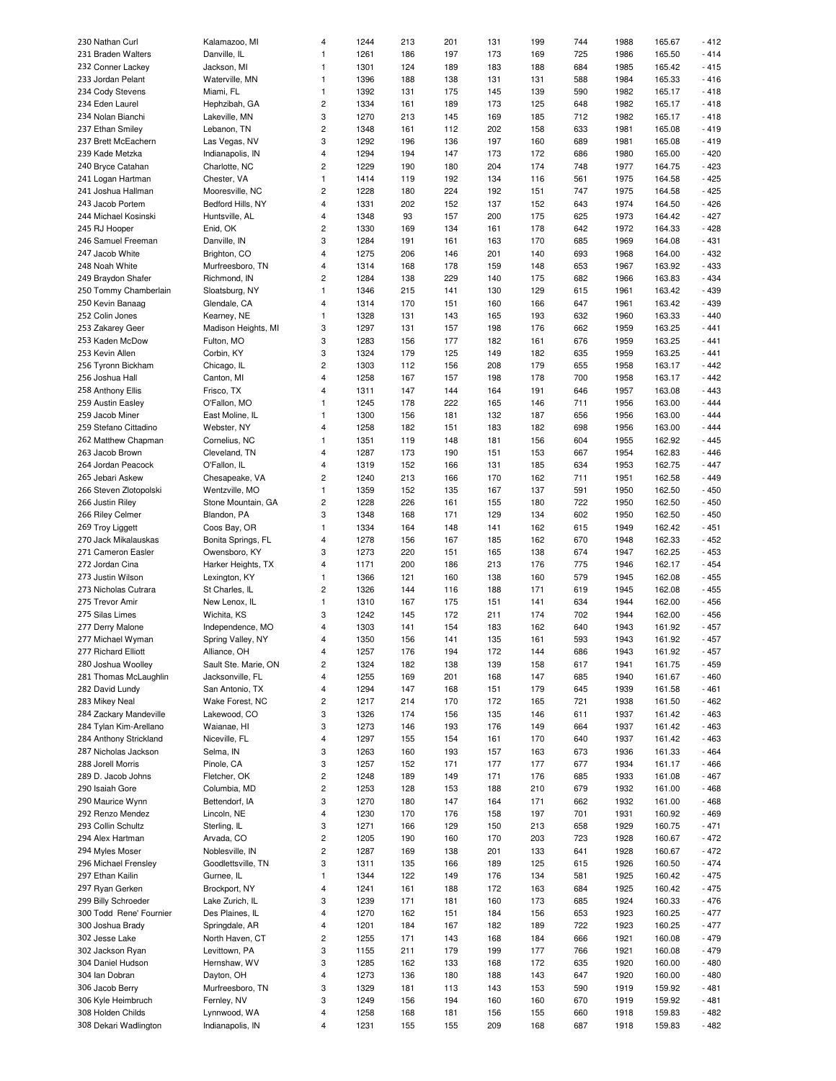| 230 Nathan Curl                            | Kalamazoo, MI                    | $\overline{4}$               | 1244         | 213        | 201        | 131        | 199        | 744        | 1988         | 165.67           | $-412$           |
|--------------------------------------------|----------------------------------|------------------------------|--------------|------------|------------|------------|------------|------------|--------------|------------------|------------------|
|                                            |                                  |                              |              |            |            |            |            |            |              |                  |                  |
| 231 Braden Walters                         | Danville, IL                     | $\mathbf{1}$                 | 1261         | 186        | 197        | 173        | 169        | 725        | 1986         | 165.50           | $-414$           |
| 232 Conner Lackey                          | Jackson, MI                      | $\mathbf{1}$                 | 1301         | 124        | 189        | 183        | 188        | 684        | 1985         | 165.42           | $-415$           |
| 233 Jordan Pelant                          | Waterville, MN                   | $\mathbf{1}$                 | 1396         | 188        | 138        | 131        | 131        | 588        | 1984         | 165.33           | $-416$           |
| 234 Cody Stevens                           | Miami, FL                        | $\mathbf{1}$                 | 1392         | 131        | 175        | 145        | 139        | 590        | 1982         | 165.17           | $-418$           |
|                                            |                                  |                              |              |            |            |            |            |            |              |                  |                  |
| 234 Eden Laurel                            | Hephzibah, GA                    | $\sqrt{2}$                   | 1334         | 161        | 189        | 173        | 125        | 648        | 1982         | 165.17           | $-418$           |
| 234 Nolan Bianchi                          | Lakeville, MN                    | 3                            | 1270         | 213        | 145        | 169        | 185        | 712        | 1982         | 165.17           | $-418$           |
| 237 Ethan Smiley                           | Lebanon, TN                      | $\sqrt{2}$                   | 1348         | 161        | 112        | 202        | 158        | 633        | 1981         | 165.08           | $-419$           |
| 237 Brett McEachern                        | Las Vegas, NV                    | 3                            | 1292         | 196        | 136        | 197        | 160        | 689        | 1981         | 165.08           | $-419$           |
|                                            |                                  |                              |              |            |            |            |            |            |              |                  |                  |
| 239 Kade Metzka                            | Indianapolis, IN                 | $\sqrt{4}$                   | 1294         | 194        | 147        | 173        | 172        | 686        | 1980         | 165.00           | $-420$           |
| 240 Bryce Catahan                          | Charlotte, NC                    | $\sqrt{2}$                   | 1229         | 190        | 180        | 204        | 174        | 748        | 1977         | 164.75           | $-423$           |
| 241 Logan Hartman                          | Chester, VA                      | $\mathbf{1}$                 | 1414         | 119        | 192        | 134        | 116        | 561        | 1975         | 164.58           | $-425$           |
|                                            |                                  |                              |              |            |            |            |            |            |              |                  |                  |
| 241 Joshua Hallman                         | Mooresville, NC                  | $\sqrt{2}$                   | 1228         | 180        | 224        | 192        | 151        | 747        | 1975         | 164.58           | $-425$           |
| 243 Jacob Portem                           | Bedford Hills, NY                | $\sqrt{4}$                   | 1331         | 202        | 152        | 137        | 152        | 643        | 1974         | 164.50           | $-426$           |
| 244 Michael Kosinski                       | Huntsville, AL                   | $\overline{\mathbf{4}}$      | 1348         | 93         | 157        | 200        | 175        | 625        | 1973         | 164.42           | $-427$           |
| 245 RJ Hooper                              | Enid, OK                         | $\overline{c}$               | 1330         | 169        | 134        | 161        | 178        | 642        | 1972         | 164.33           | $-428$           |
|                                            |                                  |                              |              |            |            |            |            |            |              |                  |                  |
| 246 Samuel Freeman                         | Danville, IN                     | 3                            | 1284         | 191        | 161        | 163        | 170        | 685        | 1969         | 164.08           | $-431$           |
| 247 Jacob White                            | Brighton, CO                     | $\overline{4}$               | 1275         | 206        | 146        | 201        | 140        | 693        | 1968         | 164.00           | $-432$           |
| 248 Noah White                             | Murfreesboro, TN                 | $\overline{4}$               | 1314         | 168        | 178        | 159        | 148        | 653        | 1967         | 163.92           | $-433$           |
| 249 Braydon Shafer                         | Richmond, IN                     | $\overline{c}$               | 1284         | 138        | 229        | 140        | 175        | 682        | 1966         | 163.83           | $-434$           |
|                                            |                                  |                              |              |            |            |            |            |            |              |                  |                  |
| 250 Tommy Chamberlain                      | Sloatsburg, NY                   | $\mathbf{1}$                 | 1346         | 215        | 141        | 130        | 129        | 615        | 1961         | 163.42           | $-439$           |
| 250 Kevin Banaag                           | Glendale, CA                     | $\overline{4}$               | 1314         | 170        | 151        | 160        | 166        | 647        | 1961         | 163.42           | $-439$           |
| 252 Colin Jones                            | Kearney, NE                      | $\mathbf{1}$                 | 1328         | 131        | 143        | 165        | 193        | 632        | 1960         | 163.33           | $-440$           |
|                                            |                                  |                              |              |            |            |            |            |            |              |                  | $-441$           |
| 253 Zakarey Geer                           | Madison Heights, MI              | 3                            | 1297         | 131        | 157        | 198        | 176        | 662        | 1959         | 163.25           |                  |
| 253 Kaden McDow                            | Fulton, MO                       | 3                            | 1283         | 156        | 177        | 182        | 161        | 676        | 1959         | 163.25           | $-441$           |
| 253 Kevin Allen                            | Corbin, KY                       | 3                            | 1324         | 179        | 125        | 149        | 182        | 635        | 1959         | 163.25           | $-441$           |
| 256 Tyronn Bickham                         | Chicago, IL                      | $\sqrt{2}$                   | 1303         | 112        | 156        | 208        | 179        | 655        | 1958         | 163.17           | $-442$           |
|                                            |                                  |                              |              |            |            |            |            |            |              |                  |                  |
| 256 Joshua Hall                            | Canton, MI                       | $\overline{4}$               | 1258         | 167        | 157        | 198        | 178        | 700        | 1958         | 163.17           | $-442$           |
| 258 Anthony Ellis                          | Frisco, TX                       | $\overline{4}$               | 1311         | 147        | 144        | 164        | 191        | 646        | 1957         | 163.08           | $-443$           |
| 259 Austin Easley                          | O'Fallon, MO                     | $\mathbf{1}$                 | 1245         | 178        | 222        | 165        | 146        | 711        | 1956         | 163.00           | $-444$           |
| 259 Jacob Miner                            |                                  | $\mathbf{1}$                 | 1300         | 156        | 181        | 132        | 187        | 656        | 1956         | 163.00           | $-444$           |
|                                            | East Moline, IL                  |                              |              |            |            |            |            |            |              |                  |                  |
| 259 Stefano Cittadino                      | Webster, NY                      | $\overline{4}$               | 1258         | 182        | 151        | 183        | 182        | 698        | 1956         | 163.00           | $-444$           |
| 262 Matthew Chapman                        | Cornelius, NC                    | $\mathbf{1}$                 | 1351         | 119        | 148        | 181        | 156        | 604        | 1955         | 162.92           | $-445$           |
| 263 Jacob Brown                            | Cleveland, TN                    | $\overline{4}$               | 1287         | 173        | 190        | 151        | 153        | 667        | 1954         | 162.83           | $-446$           |
|                                            |                                  |                              |              |            |            |            |            |            |              |                  |                  |
| 264 Jordan Peacock                         | O'Fallon, IL                     | $\overline{4}$               | 1319         | 152        | 166        | 131        | 185        | 634        | 1953         | 162.75           | $-447$           |
| 265 Jebari Askew                           | Chesapeake, VA                   | $\sqrt{2}$                   | 1240         | 213        | 166        | 170        | 162        | 711        | 1951         | 162.58           | $-449$           |
| 266 Steven Zlotopolski                     | Wentzville, MO                   | $\mathbf{1}$                 | 1359         | 152        | 135        | 167        | 137        | 591        | 1950         | 162.50           | $-450$           |
| 266 Justin Riley                           | Stone Mountain, GA               | $\sqrt{2}$                   | 1228         | 226        | 161        | 155        | 180        | 722        | 1950         | 162.50           | $-450$           |
|                                            |                                  |                              |              |            |            |            |            |            |              |                  |                  |
| 266 Riley Celmer                           | Blandon, PA                      | 3                            | 1348         | 168        | 171        | 129        | 134        | 602        | 1950         | 162.50           | $-450$           |
| 269 Troy Liggett                           | Coos Bay, OR                     | $\mathbf{1}$                 | 1334         | 164        | 148        | 141        | 162        | 615        | 1949         | 162.42           | $-451$           |
| 270 Jack Mikalauskas                       | Bonita Springs, FL               | $\overline{4}$               | 1278         | 156        | 167        | 185        | 162        | 670        | 1948         | 162.33           | $-452$           |
| 271 Cameron Easler                         | Owensboro, KY                    | 3                            | 1273         | 220        | 151        | 165        | 138        | 674        | 1947         | 162.25           | $-453$           |
|                                            |                                  |                              |              |            |            |            |            |            |              |                  |                  |
| 272 Jordan Cina                            | Harker Heights, TX               | $\overline{4}$               | 1171         | 200        | 186        | 213        | 176        | 775        | 1946         | 162.17           | $-454$           |
| 273 Justin Wilson                          | Lexington, KY                    | $\mathbf{1}$                 | 1366         | 121        | 160        | 138        | 160        | 579        | 1945         | 162.08           | $-455$           |
| 273 Nicholas Cutrara                       | St Charles, IL                   | $\sqrt{2}$                   | 1326         | 144        | 116        | 188        | 171        | 619        | 1945         | 162.08           | $-455$           |
|                                            |                                  | $\mathbf{1}$                 | 1310         | 167        | 175        | 151        |            | 634        | 1944         | 162.00           | $-456$           |
| 275 Trevor Amir                            | New Lenox, IL                    |                              |              |            |            |            | 141        |            |              |                  |                  |
| 275 Silas Limes                            | Wichita, KS                      | 3                            | 1242         | 145        | 172        | 211        | 174        | 702        | 1944         | 162.00           | $-456$           |
| 277 Derry Malone                           | Independence, MO                 | $\overline{4}$               | 1303         | 141        | 154        | 183        | 162        | 640        | 1943         | 161.92           | $-457$           |
| 277 Michael Wyman                          | Spring Valley, NY                | $\overline{4}$               | 1350         | 156        | 141        | 135        | 161        | 593        | 1943         | 161.92           | $-457$           |
|                                            |                                  |                              |              |            |            |            |            |            |              |                  |                  |
| 277 Richard Elliott                        | Alliance, OH                     | $\overline{4}$               | 1257         | 176        | 194        | 172        | 144        | 686        | 1943         | 161.92           | $-457$           |
| 280 Joshua Woolley                         | Sault Ste. Marie, ON             | $\sqrt{2}$                   | 1324         | 182        | 138        | 139        | 158        | 617        | 1941         | 161.75           | $-459$           |
| 281 Thomas McLaughlin                      | Jacksonville, FL                 | $\overline{4}$               | 1255         | 169        | 201        | 168        | 147        | 685        | 1940         | 161.67           | $-460$           |
| 282 David Lundy                            | San Antonio, TX                  | $\overline{\mathbf{4}}$      | 1294         | 147        | 168        | 151        | 179        | 645        | 1939         | 161.58           | $-461$           |
|                                            |                                  |                              |              |            |            |            |            |            |              |                  |                  |
| 283 Mikey Neal                             | Wake Forest, NC                  | $\sqrt{2}$                   | 1217         | 214        | 170        | 172        | 165        | 721        | 1938         | 161.50           | $-462$           |
| 284 Zackary Mandeville                     | Lakewood, CO                     | 3                            | 1326         | 174        | 156        | 135        | 146        | 611        | 1937         | 161.42           | $-463$           |
| 284 Tylan Kim-Arellano                     | Waianae, HI                      | 3                            | 1273         | 146        | 193        | 176        | 149        | 664        | 1937         | 161.42           | $-463$           |
| 284 Anthony Strickland                     | Niceville, FL                    | $\sqrt{4}$                   | 1297         | 155        | 154        | 161        | 170        | 640        | 1937         | 161.42           | $-463$           |
|                                            |                                  |                              |              |            |            |            |            |            |              |                  |                  |
| 287 Nicholas Jackson                       | Selma, IN                        | 3                            | 1263         | 160        | 193        | 157        | 163        | 673        | 1936         | 161.33           | $-464$           |
| 288 Jorell Morris                          | Pinole, CA                       | 3                            | 1257         | 152        | 171        | 177        | 177        | 677        | 1934         | 161.17           | $-466$           |
| 289 D. Jacob Johns                         | Fletcher, OK                     | $\mathbf 2$                  | 1248         | 189        | 149        | 171        | 176        | 685        | 1933         | 161.08           | $-467$           |
|                                            |                                  | $\sqrt{2}$                   |              |            |            |            |            |            |              |                  |                  |
| 290 Isaiah Gore                            | Columbia, MD                     |                              | 1253         | 128        | 153        | 188        | 210        | 679        | 1932         | 161.00           | $-468$           |
| 290 Maurice Wynn                           | Bettendorf, IA                   | 3                            | 1270         | 180        | 147        | 164        | 171        | 662        | 1932         | 161.00           | $-468$           |
| 292 Renzo Mendez                           | Lincoln, NE                      | $\overline{\mathbf{4}}$      | 1230         | 170        | 176        | 158        | 197        | 701        | 1931         | 160.92           | $-469$           |
| 293 Collin Schultz                         | Sterling, IL                     | 3                            | 1271         | 166        | 129        | 150        | 213        | 658        | 1929         | 160.75           | $-471$           |
|                                            |                                  |                              |              |            |            |            |            |            |              |                  |                  |
| 294 Alex Hartman                           | Arvada, CO                       | $\sqrt{2}$                   | 1205         | 190        | 160        | 170        | 203        | 723        | 1928         | 160.67           | $-472$           |
| 294 Myles Moser                            | Noblesville, IN                  | $\sqrt{2}$                   | 1287         | 169        | 138        | 201        | 133        | 641        | 1928         | 160.67           | $-472$           |
| 296 Michael Frensley                       | Goodlettsville, TN               | 3                            | 1311         | 135        | 166        | 189        | 125        | 615        | 1926         | 160.50           | $-474$           |
| 297 Ethan Kailin                           | Gurnee, IL                       | $\mathbf{1}$                 | 1344         | 122        | 149        | 176        | 134        | 581        | 1925         | 160.42           | $-475$           |
|                                            |                                  |                              |              |            |            |            |            |            |              |                  |                  |
| 297 Ryan Gerken                            | Brockport, NY                    | $\sqrt{4}$                   | 1241         | 161        | 188        | 172        | 163        | 684        | 1925         | 160.42           | $-475$           |
| 299 Billy Schroeder                        | Lake Zurich, IL                  | 3                            | 1239         | 171        | 181        | 160        | 173        | 685        | 1924         | 160.33           | $-476$           |
| 300 Todd Rene' Fournier                    | Des Plaines, IL                  | $\overline{4}$               | 1270         | 162        | 151        | 184        | 156        | 653        | 1923         | 160.25           | $-477$           |
|                                            |                                  |                              |              |            |            |            |            |            |              |                  |                  |
| 300 Joshua Brady                           | Springdale, AR                   | $\overline{\mathbf{4}}$      | 1201         | 184        | 167        | 182        | 189        | 722        | 1923         | 160.25           | $-477$           |
| 302 Jesse Lake                             | North Haven, CT                  | $\mathbf 2$                  | 1255         | 171        | 143        | 168        | 184        | 666        | 1921         | 160.08           | $-479$           |
| 302 Jackson Ryan                           | Levittown, PA                    | 3                            | 1155         | 211        | 179        | 199        | 177        | 766        | 1921         | 160.08           | $-479$           |
| 304 Daniel Hudson                          | Hernshaw, WV                     | 3                            | 1285         | 162        | 133        | 168        | 172        | 635        | 1920         | 160.00           | $-480$           |
|                                            |                                  |                              |              |            |            |            |            |            |              |                  |                  |
| 304 Ian Dobran                             | Dayton, OH                       | $\overline{\mathbf{4}}$      | 1273         | 136        | 180        | 188        | 143        | 647        | 1920         | 160.00           | $-480$           |
| 306 Jacob Berry                            |                                  |                              |              |            |            |            |            |            |              |                  |                  |
|                                            | Murfreesboro, TN                 | 3                            | 1329         | 181        | 113        | 143        | 153        | 590        | 1919         | 159.92           | $-481$           |
| 306 Kyle Heimbruch                         | Fernley, NV                      | 3                            | 1249         | 156        | 194        | 160        | 160        | 670        | 1919         | 159.92           | $-481$           |
|                                            |                                  |                              |              |            |            |            |            |            |              |                  |                  |
| 308 Holden Childs<br>308 Dekari Wadlington | Lynnwood, WA<br>Indianapolis, IN | $\overline{\mathbf{4}}$<br>4 | 1258<br>1231 | 168<br>155 | 181<br>155 | 156<br>209 | 155<br>168 | 660<br>687 | 1918<br>1918 | 159.83<br>159.83 | $-482$<br>$-482$ |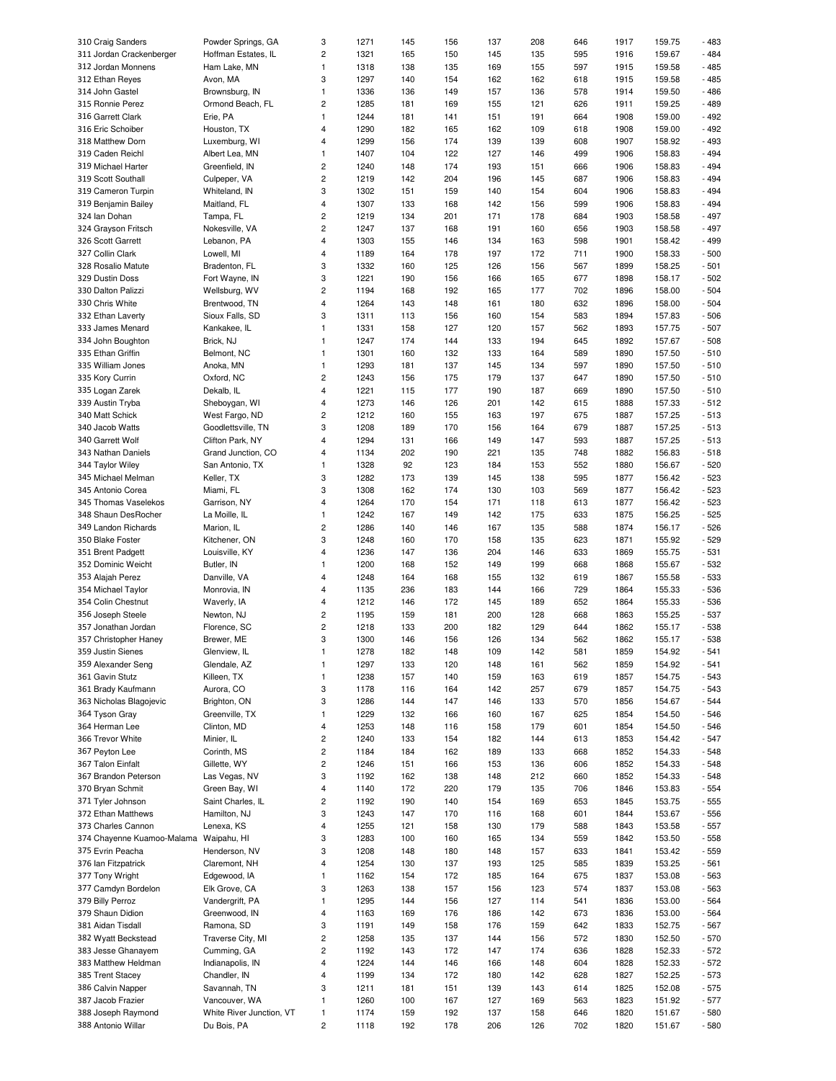| 310 Craig Sanders          | Powder Springs, GA       | 3                       | 1271 | 145 | 156 | 137 | 208 | 646 | 1917 | 159.75 | $-483$ |
|----------------------------|--------------------------|-------------------------|------|-----|-----|-----|-----|-----|------|--------|--------|
| 311 Jordan Crackenberger   | Hoffman Estates, IL      | 2                       | 1321 | 165 | 150 | 145 | 135 | 595 | 1916 | 159.67 | $-484$ |
| 312 Jordan Monnens         | Ham Lake, MN             | $\mathbf{1}$            | 1318 | 138 | 135 | 169 | 155 | 597 | 1915 | 159.58 | $-485$ |
|                            |                          |                         |      |     |     |     |     |     |      |        |        |
| 312 Ethan Reyes            | Avon, MA                 | 3                       | 1297 | 140 | 154 | 162 | 162 | 618 | 1915 | 159.58 | $-485$ |
| 314 John Gastel            | Brownsburg, IN           | $\mathbf{1}$            | 1336 | 136 | 149 | 157 | 136 | 578 | 1914 | 159.50 | $-486$ |
| 315 Ronnie Perez           | Ormond Beach, FL         | $\overline{c}$          | 1285 | 181 | 169 | 155 | 121 | 626 | 1911 | 159.25 | $-489$ |
| 316 Garrett Clark          | Erie, PA                 | $\mathbf{1}$            | 1244 | 181 | 141 | 151 | 191 | 664 | 1908 | 159.00 | $-492$ |
| 316 Eric Schoiber          |                          | 4                       | 1290 | 182 | 165 | 162 | 109 | 618 | 1908 | 159.00 | $-492$ |
|                            | Houston, TX              |                         |      |     |     |     |     |     |      |        |        |
| 318 Matthew Dorn           | Luxemburg, WI            | 4                       | 1299 | 156 | 174 | 139 | 139 | 608 | 1907 | 158.92 | $-493$ |
| 319 Caden Reichl           | Albert Lea, MN           | $\mathbf{1}$            | 1407 | 104 | 122 | 127 | 146 | 499 | 1906 | 158.83 | $-494$ |
| 319 Michael Harter         | Greenfield, IN           | $\overline{c}$          | 1240 | 148 | 174 | 193 | 151 | 666 | 1906 | 158.83 | $-494$ |
|                            |                          | $\overline{c}$          | 1219 |     |     | 196 |     |     | 1906 |        | $-494$ |
| 319 Scott Southall         | Culpeper, VA             |                         |      | 142 | 204 |     | 145 | 687 |      | 158.83 |        |
| 319 Cameron Turpin         | Whiteland, IN            | 3                       | 1302 | 151 | 159 | 140 | 154 | 604 | 1906 | 158.83 | $-494$ |
| 319 Benjamin Bailey        | Maitland, FL             | 4                       | 1307 | 133 | 168 | 142 | 156 | 599 | 1906 | 158.83 | $-494$ |
| 324 Ian Dohan              | Tampa, FL                | $\overline{c}$          | 1219 | 134 | 201 | 171 | 178 | 684 | 1903 | 158.58 | $-497$ |
|                            |                          | $\overline{c}$          |      |     |     |     |     |     |      |        |        |
| 324 Grayson Fritsch        | Nokesville, VA           |                         | 1247 | 137 | 168 | 191 | 160 | 656 | 1903 | 158.58 | $-497$ |
| 326 Scott Garrett          | Lebanon, PA              | $\overline{4}$          | 1303 | 155 | 146 | 134 | 163 | 598 | 1901 | 158.42 | $-499$ |
| 327 Collin Clark           | Lowell, MI               | $\overline{4}$          | 1189 | 164 | 178 | 197 | 172 | 711 | 1900 | 158.33 | $-500$ |
| 328 Rosalio Matute         | Bradenton, FL            | 3                       | 1332 | 160 | 125 | 126 | 156 | 567 | 1899 | 158.25 | $-501$ |
|                            |                          |                         |      |     |     |     |     |     |      |        |        |
| 329 Dustin Doss            | Fort Wayne, IN           | 3                       | 1221 | 190 | 156 | 166 | 165 | 677 | 1898 | 158.17 | $-502$ |
| 330 Dalton Palizzi         | Wellsburg, WV            | $\overline{c}$          | 1194 | 168 | 192 | 165 | 177 | 702 | 1896 | 158.00 | $-504$ |
| 330 Chris White            | Brentwood, TN            | $\overline{4}$          | 1264 | 143 | 148 | 161 | 180 | 632 | 1896 | 158.00 | $-504$ |
| 332 Ethan Laverty          | Sioux Falls, SD          | 3                       | 1311 | 113 | 156 | 160 | 154 | 583 | 1894 | 157.83 | $-506$ |
|                            |                          |                         |      |     |     |     |     |     |      |        |        |
| 333 James Menard           | Kankakee, IL             | $\mathbf{1}$            | 1331 | 158 | 127 | 120 | 157 | 562 | 1893 | 157.75 | $-507$ |
| 334 John Boughton          | Brick, NJ                | $\mathbf{1}$            | 1247 | 174 | 144 | 133 | 194 | 645 | 1892 | 157.67 | $-508$ |
| 335 Ethan Griffin          | Belmont, NC              | 1                       | 1301 | 160 | 132 | 133 | 164 | 589 | 1890 | 157.50 | $-510$ |
| 335 William Jones          | Anoka, MN                | $\mathbf{1}$            | 1293 | 181 | 137 | 145 | 134 | 597 | 1890 | 157.50 | $-510$ |
|                            |                          |                         |      |     |     |     |     |     |      |        |        |
| 335 Kory Currin            | Oxford, NC               | $\overline{c}$          | 1243 | 156 | 175 | 179 | 137 | 647 | 1890 | 157.50 | $-510$ |
| 335 Logan Zarek            | Dekalb, IL               | 4                       | 1221 | 115 | 177 | 190 | 187 | 669 | 1890 | 157.50 | $-510$ |
| 339 Austin Tryba           | Sheboygan, WI            | 4                       | 1273 | 146 | 126 | 201 | 142 | 615 | 1888 | 157.33 | $-512$ |
|                            |                          | $\overline{c}$          | 1212 | 160 |     | 163 |     | 675 | 1887 |        | $-513$ |
| 340 Matt Schick            | West Fargo, ND           |                         |      |     | 155 |     | 197 |     |      | 157.25 |        |
| 340 Jacob Watts            | Goodlettsville, TN       | 3                       | 1208 | 189 | 170 | 156 | 164 | 679 | 1887 | 157.25 | $-513$ |
| 340 Garrett Wolf           | Clifton Park, NY         | $\overline{4}$          | 1294 | 131 | 166 | 149 | 147 | 593 | 1887 | 157.25 | $-513$ |
| 343 Nathan Daniels         | Grand Junction, CO       | 4                       | 1134 | 202 | 190 | 221 | 135 | 748 | 1882 | 156.83 | $-518$ |
|                            |                          | $\mathbf{1}$            |      |     |     | 184 |     |     | 1880 |        | $-520$ |
| 344 Taylor Wiley           | San Antonio, TX          |                         | 1328 | 92  | 123 |     | 153 | 552 |      | 156.67 |        |
| 345 Michael Melman         | Keller, TX               | 3                       | 1282 | 173 | 139 | 145 | 138 | 595 | 1877 | 156.42 | $-523$ |
| 345 Antonio Corea          | Miami, FL                | 3                       | 1308 | 162 | 174 | 130 | 103 | 569 | 1877 | 156.42 | $-523$ |
| 345 Thomas Vaselekos       | Garrison, NY             | 4                       | 1264 | 170 | 154 | 171 | 118 | 613 | 1877 | 156.42 | $-523$ |
|                            |                          |                         |      |     |     |     |     |     |      |        |        |
| 348 Shaun DesRocher        | La Moille, IL            | $\mathbf{1}$            | 1242 | 167 | 149 | 142 | 175 | 633 | 1875 | 156.25 | $-525$ |
| 349 Landon Richards        | Marion, IL               | $\overline{c}$          | 1286 | 140 | 146 | 167 | 135 | 588 | 1874 | 156.17 | $-526$ |
| 350 Blake Foster           | Kitchener, ON            | 3                       | 1248 | 160 | 170 | 158 | 135 | 623 | 1871 | 155.92 | $-529$ |
| 351 Brent Padgett          | Louisville, KY           | 4                       | 1236 | 147 | 136 | 204 | 146 | 633 | 1869 | 155.75 | $-531$ |
|                            |                          |                         |      |     |     |     |     |     |      |        |        |
| 352 Dominic Weicht         | Butler, IN               | $\mathbf{1}$            | 1200 | 168 | 152 | 149 | 199 | 668 | 1868 | 155.67 | $-532$ |
| 353 Alajah Perez           | Danville, VA             | 4                       | 1248 | 164 | 168 | 155 | 132 | 619 | 1867 | 155.58 | $-533$ |
| 354 Michael Taylor         | Monrovia, IN             | 4                       | 1135 | 236 | 183 | 144 | 166 | 729 | 1864 | 155.33 | $-536$ |
| 354 Colin Chestnut         | Waverly, IA              | 4                       | 1212 | 146 | 172 | 145 | 189 | 652 | 1864 | 155.33 | $-536$ |
|                            |                          |                         |      |     |     |     |     |     |      |        |        |
| 356 Joseph Steele          | Newton, NJ               | $\overline{c}$          | 1195 | 159 | 181 | 200 | 128 | 668 | 1863 | 155.25 | $-537$ |
| 357 Jonathan Jordan        | Florence, SC             | $\overline{c}$          | 1218 | 133 | 200 | 182 | 129 | 644 | 1862 | 155.17 | $-538$ |
| 357 Christopher Haney      | Brewer, ME               | 3                       | 1300 | 146 | 156 | 126 | 134 | 562 | 1862 | 155.17 | $-538$ |
|                            |                          |                         |      |     |     |     |     |     |      |        |        |
| 359 Justin Sienes          | Glenview, IL             | 1                       | 1278 | 182 | 148 | 109 | 142 | 581 | 1859 | 154.92 | $-541$ |
| 359 Alexander Seng         | Glendale, AZ             | $\mathbf{1}$            | 1297 | 133 | 120 | 148 | 161 | 562 | 1859 | 154.92 | $-541$ |
| 361 Gavin Stutz            | Killeen, TX              | $\mathbf{1}$            | 1238 | 157 | 140 | 159 | 163 | 619 | 1857 | 154.75 | $-543$ |
| 361 Brady Kaufmann         | Aurora, CO               | 3                       | 1178 | 116 | 164 | 142 | 257 | 679 | 1857 | 154.75 | $-543$ |
|                            |                          |                         |      |     |     |     |     |     |      |        |        |
| 363 Nicholas Blagojevic    | Brighton, ON             | 3                       | 1286 | 144 | 147 | 146 | 133 | 570 | 1856 | 154.67 | $-544$ |
| 364 Tyson Gray             | Greenville, TX           | $\mathbf{1}$            | 1229 | 132 | 166 | 160 | 167 | 625 | 1854 | 154.50 | $-546$ |
| 364 Herman Lee             | Clinton, MD              | $\overline{\mathbf{4}}$ | 1253 | 148 | 116 | 158 | 179 | 601 | 1854 | 154.50 | $-546$ |
| 366 Trevor White           | Minier, IL               | $\overline{c}$          | 1240 | 133 | 154 | 182 | 144 | 613 | 1853 | 154.42 | $-547$ |
|                            |                          |                         |      |     |     |     |     |     |      |        |        |
| 367 Peyton Lee             | Corinth, MS              | $\sqrt{2}$              | 1184 | 184 | 162 | 189 | 133 | 668 | 1852 | 154.33 | $-548$ |
| 367 Talon Einfalt          | Gillette, WY             | $\overline{c}$          | 1246 | 151 | 166 | 153 | 136 | 606 | 1852 | 154.33 | $-548$ |
| 367 Brandon Peterson       | Las Vegas, NV            | 3                       | 1192 | 162 | 138 | 148 | 212 | 660 | 1852 | 154.33 | $-548$ |
| 370 Bryan Schmit           | Green Bay, WI            | $\overline{\mathbf{4}}$ | 1140 | 172 | 220 | 179 | 135 | 706 | 1846 | 153.83 | $-554$ |
|                            |                          |                         |      |     |     |     |     |     |      |        |        |
| 371 Tyler Johnson          | Saint Charles, IL        | $\overline{c}$          | 1192 | 190 | 140 | 154 | 169 | 653 | 1845 | 153.75 | $-555$ |
| 372 Ethan Matthews         | Hamilton, NJ             | 3                       | 1243 | 147 | 170 | 116 | 168 | 601 | 1844 | 153.67 | $-556$ |
| 373 Charles Cannon         | Lenexa, KS               | $\overline{\mathbf{4}}$ | 1255 | 121 | 158 | 130 | 179 | 588 | 1843 | 153.58 | $-557$ |
| 374 Chayenne Kuamoo-Malama | Waipahu, HI              | 3                       | 1283 | 100 | 160 | 165 | 134 | 559 | 1842 | 153.50 | $-558$ |
|                            |                          |                         |      |     |     |     |     |     |      |        |        |
| 375 Evrin Peacha           | Henderson, NV            | 3                       | 1208 | 148 | 180 | 148 | 157 | 633 | 1841 | 153.42 | $-559$ |
| 376 Ian Fitzpatrick        | Claremont, NH            | $\overline{4}$          | 1254 | 130 | 137 | 193 | 125 | 585 | 1839 | 153.25 | $-561$ |
| 377 Tony Wright            | Edgewood, IA             | $\mathbf{1}$            | 1162 | 154 | 172 | 185 | 164 | 675 | 1837 | 153.08 | $-563$ |
| 377 Camdyn Bordelon        | Elk Grove, CA            | 3                       | 1263 | 138 | 157 | 156 | 123 | 574 | 1837 | 153.08 | $-563$ |
|                            |                          |                         |      |     |     |     |     |     |      |        |        |
| 379 Billy Perroz           | Vandergrift, PA          | $\mathbf{1}$            | 1295 | 144 | 156 | 127 | 114 | 541 | 1836 | 153.00 | $-564$ |
| 379 Shaun Didion           | Greenwood, IN            | $\overline{4}$          | 1163 | 169 | 176 | 186 | 142 | 673 | 1836 | 153.00 | $-564$ |
| 381 Aidan Tisdall          | Ramona, SD               | 3                       | 1191 | 149 | 158 | 176 | 159 | 642 | 1833 | 152.75 | $-567$ |
| 382 Wyatt Beckstead        | Traverse City, MI        | $\sqrt{2}$              | 1258 | 135 | 137 | 144 | 156 | 572 | 1830 | 152.50 | $-570$ |
|                            |                          |                         |      |     |     |     |     |     |      |        |        |
| 383 Jesse Ghanayem         | Cumming, GA              | $\overline{c}$          | 1192 | 143 | 172 | 147 | 174 | 636 | 1828 | 152.33 | $-572$ |
| 383 Matthew Heldman        | Indianapolis, IN         | $\overline{4}$          | 1224 | 144 | 146 | 166 | 148 | 604 | 1828 | 152.33 | $-572$ |
| 385 Trent Stacey           | Chandler, IN             | 4                       | 1199 | 134 | 172 | 180 | 142 | 628 | 1827 | 152.25 | $-573$ |
| 386 Calvin Napper          | Savannah, TN             | 3                       | 1211 | 181 | 151 | 139 | 143 | 614 | 1825 | 152.08 | $-575$ |
|                            |                          |                         |      |     |     |     |     |     |      |        |        |
| 387 Jacob Frazier          | Vancouver, WA            | $\mathbf{1}$            | 1260 | 100 | 167 | 127 | 169 | 563 | 1823 | 151.92 | $-577$ |
| 388 Joseph Raymond         | White River Junction, VT | $\mathbf{1}$            | 1174 | 159 | 192 | 137 | 158 | 646 | 1820 | 151.67 | $-580$ |
| 388 Antonio Willar         | Du Bois, PA              | $\overline{c}$          | 1118 | 192 | 178 | 206 | 126 | 702 | 1820 | 151.67 | $-580$ |
|                            |                          |                         |      |     |     |     |     |     |      |        |        |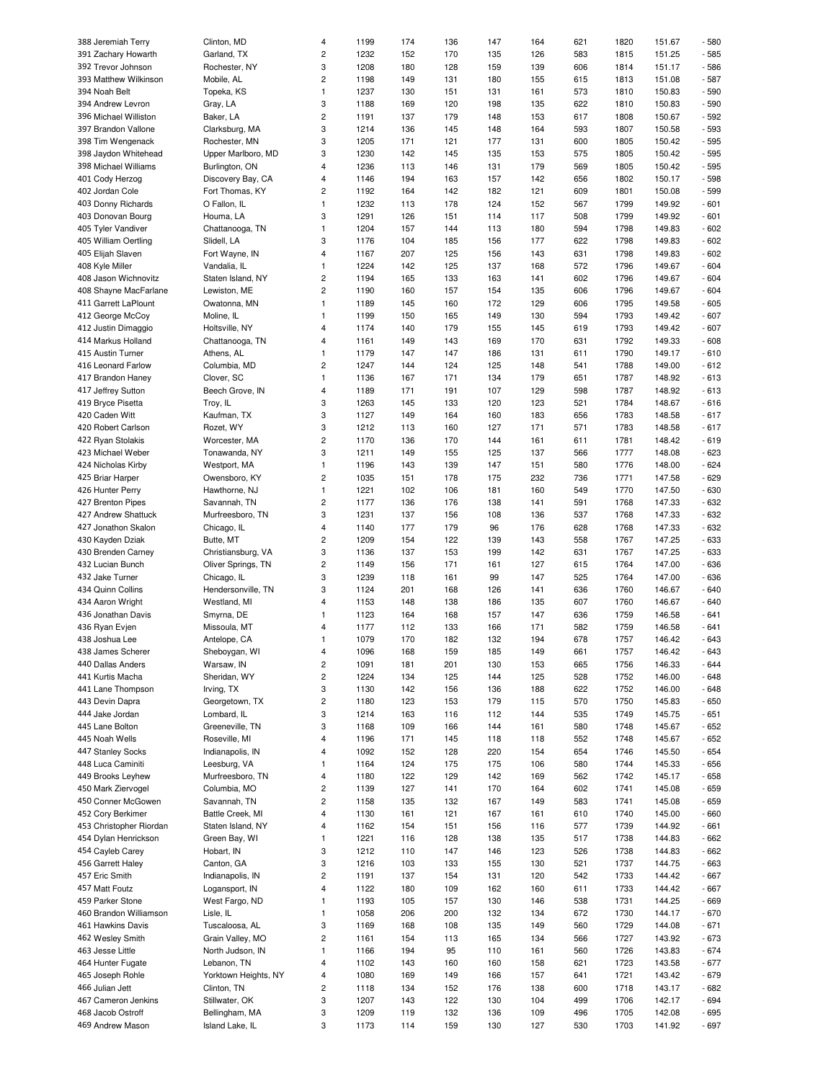| 388 Jeremiah Terry                    |                                   | $\overline{4}$          | 1199         | 174        | 136        | 147        | 164        | 621        | 1820         | 151.67           | $-580$           |
|---------------------------------------|-----------------------------------|-------------------------|--------------|------------|------------|------------|------------|------------|--------------|------------------|------------------|
|                                       | Clinton, MD                       |                         |              |            |            |            |            |            |              |                  |                  |
| 391 Zachary Howarth                   | Garland, TX                       | $\sqrt{2}$              | 1232         | 152        | 170        | 135        | 126        | 583        | 1815         | 151.25           | $-585$           |
| 392 Trevor Johnson                    | Rochester, NY                     | 3                       | 1208         | 180        | 128        | 159        | 139        | 606        | 1814         | 151.17           | $-586$           |
| 393 Matthew Wilkinson                 | Mobile, AL                        | $\sqrt{2}$              | 1198         | 149        | 131        | 180        | 155        | 615        | 1813         | 151.08           | $-587$           |
| 394 Noah Belt                         | Topeka, KS                        | $\mathbf{1}$            | 1237         | 130        | 151        | 131        | 161        | 573        | 1810         | 150.83           | $-590$           |
| 394 Andrew Levron                     | Gray, LA                          | 3                       | 1188         | 169        | 120        | 198        | 135        | 622        | 1810         | 150.83           | $-590$           |
|                                       |                                   |                         |              |            |            |            |            |            |              |                  |                  |
| 396 Michael Williston                 | Baker, LA                         | $\sqrt{2}$              | 1191         | 137        | 179        | 148        | 153        | 617        | 1808         | 150.67           | $-592$           |
| 397 Brandon Vallone                   | Clarksburg, MA                    | 3                       | 1214         | 136        | 145        | 148        | 164        | 593        | 1807         | 150.58           | $-593$           |
| 398 Tim Wengenack                     | Rochester, MN                     | 3                       | 1205         | 171        | 121        | 177        | 131        | 600        | 1805         | 150.42           | $-595$           |
| 398 Jaydon Whitehead                  | Upper Marlboro, MD                | 3                       | 1230         | 142        | 145        | 135        | 153        | 575        | 1805         | 150.42           | $-595$           |
| 398 Michael Williams                  | Burlington, ON                    | $\overline{4}$          | 1236         | 113        | 146        | 131        | 179        | 569        | 1805         | 150.42           | $-595$           |
| 401 Cody Herzog                       | Discovery Bay, CA                 | $\overline{4}$          | 1146         | 194        | 163        | 157        | 142        | 656        | 1802         | 150.17           | $-598$           |
|                                       |                                   |                         |              | 164        |            |            |            |            |              |                  | $-599$           |
| 402 Jordan Cole                       | Fort Thomas, KY                   | $\overline{c}$          | 1192         |            | 142        | 182        | 121        | 609        | 1801         | 150.08           |                  |
| 403 Donny Richards                    | O Fallon, IL                      | $\mathbf{1}$            | 1232         | 113        | 178        | 124        | 152        | 567        | 1799         | 149.92           | $-601$           |
| 403 Donovan Bourg                     | Houma, LA                         | 3                       | 1291         | 126        | 151        | 114        | 117        | 508        | 1799         | 149.92           | $-601$           |
| 405 Tyler Vandiver                    | Chattanooga, TN                   | $\mathbf{1}$            | 1204         | 157        | 144        | 113        | 180        | 594        | 1798         | 149.83           | $-602$           |
| 405 William Oertling                  | Slidell, LA                       | 3                       | 1176         | 104        | 185        | 156        | 177        | 622        | 1798         | 149.83           | $-602$           |
| 405 Elijah Slaven                     | Fort Wayne, IN                    | $\overline{4}$          | 1167         | 207        | 125        | 156        | 143        | 631        | 1798         | 149.83           | $-602$           |
| 408 Kyle Miller                       | Vandalia, IL                      | $\mathbf{1}$            | 1224         | 142        | 125        | 137        | 168        | 572        | 1796         | 149.67           | $-604$           |
| 408 Jason Wichnovitz                  | Staten Island, NY                 | $\sqrt{2}$              | 1194         | 165        | 133        | 163        | 141        | 602        | 1796         | 149.67           | $-604$           |
|                                       |                                   |                         |              |            |            |            |            |            |              |                  |                  |
| 408 Shayne MacFarlane                 | Lewiston, ME                      | $\overline{c}$          | 1190         | 160        | 157        | 154        | 135        | 606        | 1796         | 149.67           | $-604$           |
| 411 Garrett LaPlount                  | Owatonna, MN                      | $\mathbf{1}$            | 1189         | 145        | 160        | 172        | 129        | 606        | 1795         | 149.58           | $-605$           |
| 412 George McCoy                      | Moline, IL                        | $\mathbf{1}$            | 1199         | 150        | 165        | 149        | 130        | 594        | 1793         | 149.42           | $-607$           |
| 412 Justin Dimaggio                   | Holtsville, NY                    | $\overline{4}$          | 1174         | 140        | 179        | 155        | 145        | 619        | 1793         | 149.42           | $-607$           |
| 414 Markus Holland                    | Chattanooga, TN                   | $\overline{4}$          | 1161         | 149        | 143        | 169        | 170        | 631        | 1792         | 149.33           | $-608$           |
| 415 Austin Turner                     | Athens, AL                        | $\mathbf{1}$            | 1179         | 147        | 147        | 186        | 131        | 611        | 1790         | 149.17           | $-610$           |
| 416 Leonard Farlow                    | Columbia, MD                      | $\sqrt{2}$              | 1247         | 144        | 124        | 125        | 148        | 541        | 1788         | 149.00           | $-612$           |
|                                       |                                   | $\mathbf{1}$            |              |            |            |            |            |            |              |                  |                  |
| 417 Brandon Haney                     | Clover, SC                        |                         | 1136         | 167        | 171        | 134        | 179        | 651        | 1787         | 148.92           | $-613$           |
| 417 Jeffrey Sutton                    | Beech Grove, IN                   | $\overline{4}$          | 1189         | 171        | 191        | 107        | 129        | 598        | 1787         | 148.92           | $-613$           |
| 419 Bryce Pisetta                     | Troy, IL                          | 3                       | 1263         | 145        | 133        | 120        | 123        | 521        | 1784         | 148.67           | $-616$           |
| 420 Caden Witt                        | Kaufman, TX                       | 3                       | 1127         | 149        | 164        | 160        | 183        | 656        | 1783         | 148.58           | $-617$           |
| 420 Robert Carlson                    | Rozet, WY                         | 3                       | 1212         | 113        | 160        | 127        | 171        | 571        | 1783         | 148.58           | $-617$           |
| 422 Ryan Stolakis                     | Worcester, MA                     | $\mathbf 2$             | 1170         | 136        | 170        | 144        | 161        | 611        | 1781         | 148.42           | $-619$           |
| 423 Michael Weber                     | Tonawanda, NY                     | 3                       | 1211         | 149        | 155        | 125        | 137        | 566        | 1777         | 148.08           | $-623$           |
|                                       |                                   | $\mathbf{1}$            | 1196         |            |            | 147        |            |            |              |                  | $-624$           |
| 424 Nicholas Kirby                    | Westport, MA                      |                         |              | 143        | 139        |            | 151        | 580        | 1776         | 148.00           |                  |
| 425 Briar Harper                      | Owensboro, KY                     | $\sqrt{2}$              | 1035         | 151        | 178        | 175        | 232        | 736        | 1771         | 147.58           | $-629$           |
| 426 Hunter Perry                      | Hawthorne, NJ                     | $\mathbf{1}$            | 1221         | 102        | 106        | 181        | 160        | 549        | 1770         | 147.50           | $-630$           |
| 427 Brenton Pipes                     | Savannah, TN                      | $\sqrt{2}$              | 1177         | 136        | 176        | 138        | 141        | 591        | 1768         | 147.33           | $-632$           |
| 427 Andrew Shattuck                   | Murfreesboro, TN                  | 3                       | 1231         | 137        | 156        | 108        | 136        | 537        | 1768         | 147.33           | $-632$           |
| 427 Jonathon Skalon                   | Chicago, IL                       | $\overline{4}$          | 1140         | 177        | 179        | 96         | 176        | 628        | 1768         | 147.33           | $-632$           |
| 430 Kayden Dziak                      | Butte, MT                         | $\sqrt{2}$              | 1209         | 154        | 122        | 139        | 143        | 558        | 1767         | 147.25           | $-633$           |
| 430 Brenden Carney                    | Christiansburg, VA                | 3                       | 1136         | 137        | 153        | 199        | 142        | 631        | 1767         | 147.25           | $-633$           |
| 432 Lucian Bunch                      | Oliver Springs, TN                | $\mathbf 2$             | 1149         | 156        | 171        | 161        | 127        | 615        | 1764         | 147.00           | $-636$           |
|                                       |                                   |                         |              |            |            |            |            |            |              |                  |                  |
| 432 Jake Turner                       | Chicago, IL                       | 3                       | 1239         | 118        | 161        | 99         | 147        | 525        | 1764         | 147.00           | $-636$           |
| 434 Quinn Collins                     | Hendersonville, TN                | 3                       | 1124         | 201        | 168        | 126        | 141        | 636        | 1760         | 146.67           | $-640$           |
| 434 Aaron Wright                      | Westland, MI                      | $\overline{4}$          | 1153         | 148        | 138        | 186        | 135        | 607        | 1760         | 146.67           | $-640$           |
| 436 Jonathan Davis                    | Smyrna, DE                        | $\mathbf{1}$            | 1123         | 164        | 168        | 157        | 147        | 636        | 1759         | 146.58           | $-641$           |
| 436 Ryan Evjen                        | Missoula, MT                      | 4                       | 1177         | 112        | 133        | 166        | 171        | 582        | 1759         | 146.58           | $-641$           |
|                                       | Antelope, CA                      | $\mathbf{1}$            | 1079         | 170        | 182        | 132        | 194        | 678        | 1757         |                  | $-643$           |
|                                       |                                   |                         |              |            |            |            |            |            |              |                  |                  |
| 438 Joshua Lee                        |                                   |                         |              |            |            |            |            |            |              | 146.42           |                  |
| 438 James Scherer                     | Sheboygan, WI                     | 4                       | 1096         | 168        | 159        | 185        | 149        | 661        | 1757         | 146.42           | $-643$           |
| 440 Dallas Anders                     | Warsaw, IN                        | $\sqrt{2}$              | 1091         | 181        | 201        | 130        | 153        | 665        | 1756         | 146.33           | $-644$           |
| 441 Kurtis Macha                      | Sheridan, WY                      | $\sqrt{2}$              | 1224         | 134        | 125        | 144        | 125        | 528        | 1752         | 146.00           | $-648$           |
| 441 Lane Thompson                     | Irving, TX                        | 3                       | 1130         | 142        | 156        | 136        | 188        | 622        | 1752         | 146.00           | $-648$           |
| 443 Devin Dapra                       | Georgetown, TX                    | $\sqrt{2}$              | 1180         | 123        | 153        | 179        | 115        | 570        | 1750         | 145.83           | $-650$           |
| 444 Jake Jordan                       | Lombard, IL                       | 3                       | 1214         | 163        | 116        | 112        | 144        | 535        | 1749         | 145.75           | $-651$           |
|                                       |                                   |                         |              |            |            |            |            |            |              |                  |                  |
| 445 Lane Bolton                       | Greeneville, TN                   | 3                       | 1168         | 109        | 166        | 144        | 161        | 580        | 1748         | 145.67           | $-652$           |
| 445 Noah Wells                        | Roseville, MI                     | 4                       | 1196         | 171        | 145        | 118        | 118        | 552        | 1748         | 145.67           | $-652$           |
| 447 Stanley Socks                     | Indianapolis, IN                  | $\overline{4}$          | 1092         | 152        | 128        | 220        | 154        | 654        | 1746         | 145.50           | $-654$           |
| 448 Luca Caminiti                     | Leesburg, VA                      | $\mathbf{1}$            | 1164         | 124        | 175        | 175        | 106        | 580        | 1744         | 145.33           | $-656$           |
| 449 Brooks Leyhew                     | Murfreesboro, TN                  | $\overline{\mathbf{4}}$ | 1180         | 122        | 129        | 142        | 169        | 562        | 1742         | 145.17           | $-658$           |
| 450 Mark Ziervogel                    | Columbia, MO                      | $\overline{\mathbf{c}}$ | 1139         | 127        | 141        | 170        | 164        | 602        | 1741         | 145.08           | $-659$           |
| 450 Conner McGowen                    | Savannah, TN                      | $\sqrt{2}$              | 1158         | 135        | 132        | 167        | 149        | 583        | 1741         | 145.08           | $-659$           |
| 452 Cory Berkimer                     | Battle Creek, MI                  | $\overline{4}$          | 1130         | 161        | 121        | 167        | 161        | 610        | 1740         | 145.00           | $-660$           |
| 453 Christopher Riordan               | Staten Island, NY                 | $\overline{4}$          | 1162         | 154        | 151        | 156        | 116        | 577        | 1739         | 144.92           | $-661$           |
|                                       |                                   |                         |              |            |            |            |            |            |              |                  |                  |
| 454 Dylan Henrickson                  | Green Bay, WI                     | $\mathbf{1}$            | 1221         | 116        | 128        | 138        | 135        | 517        | 1738         | 144.83           | $-662$           |
| 454 Cayleb Carey                      | Hobart, IN                        | 3                       | 1212         | 110        | 147        | 146        | 123        | 526        | 1738         | 144.83           | $-662$           |
| 456 Garrett Haley                     | Canton, GA                        | 3                       | 1216         | 103        | 133        | 155        | 130        | 521        | 1737         | 144.75           | $-663$           |
| 457 Eric Smith                        | Indianapolis, IN                  | $\sqrt{2}$              | 1191         | 137        | 154        | 131        | 120        | 542        | 1733         | 144.42           | $-667$           |
| 457 Matt Foutz                        | Logansport, IN                    | $\overline{\mathbf{4}}$ | 1122         | 180        | 109        | 162        | 160        | 611        | 1733         | 144.42           | $-667$           |
| 459 Parker Stone                      | West Fargo, ND                    | $\mathbf{1}$            | 1193         | 105        | 157        | 130        | 146        | 538        | 1731         | 144.25           | $-669$           |
| 460 Brandon Williamson                | Lisle, IL                         | $\mathbf{1}$            | 1058         | 206        | 200        | 132        | 134        | 672        | 1730         | 144.17           | $-670$           |
| 461 Hawkins Davis                     | Tuscaloosa, AL                    | 3                       | 1169         | 168        | 108        | 135        | 149        | 560        | 1729         | 144.08           | $-671$           |
| 462 Wesley Smith                      | Grain Valley, MO                  | $\sqrt{2}$              | 1161         | 154        | 113        | 165        | 134        | 566        | 1727         | 143.92           | $-673$           |
|                                       |                                   |                         |              |            |            |            |            |            |              |                  |                  |
| 463 Jesse Little                      | North Judson, IN                  | $\mathbf{1}$            | 1166         | 194        | 95         | 110        | 161        | 560        | 1726         | 143.83           | $-674$           |
| 464 Hunter Fugate                     | Lebanon, TN                       | $\overline{4}$          | 1102         | 143        | 160        | 160        | 158        | 621        | 1723         | 143.58           | $-677$           |
| 465 Joseph Rohle                      | Yorktown Heights, NY              | $\overline{\mathbf{4}}$ | 1080         | 169        | 149        | 166        | 157        | 641        | 1721         | 143.42           | $-679$           |
| 466 Julian Jett                       | Clinton, TN                       | $\overline{c}$          | 1118         | 134        | 152        | 176        | 138        | 600        | 1718         | 143.17           | $-682$           |
| 467 Cameron Jenkins                   | Stillwater, OK                    | 3                       | 1207         | 143        | 122        | 130        | 104        | 499        | 1706         | 142.17           | $-694$           |
| 468 Jacob Ostroff<br>469 Andrew Mason | Bellingham, MA<br>Island Lake, IL | 3<br>3                  | 1209<br>1173 | 119<br>114 | 132<br>159 | 136<br>130 | 109<br>127 | 496<br>530 | 1705<br>1703 | 142.08<br>141.92 | $-695$<br>$-697$ |